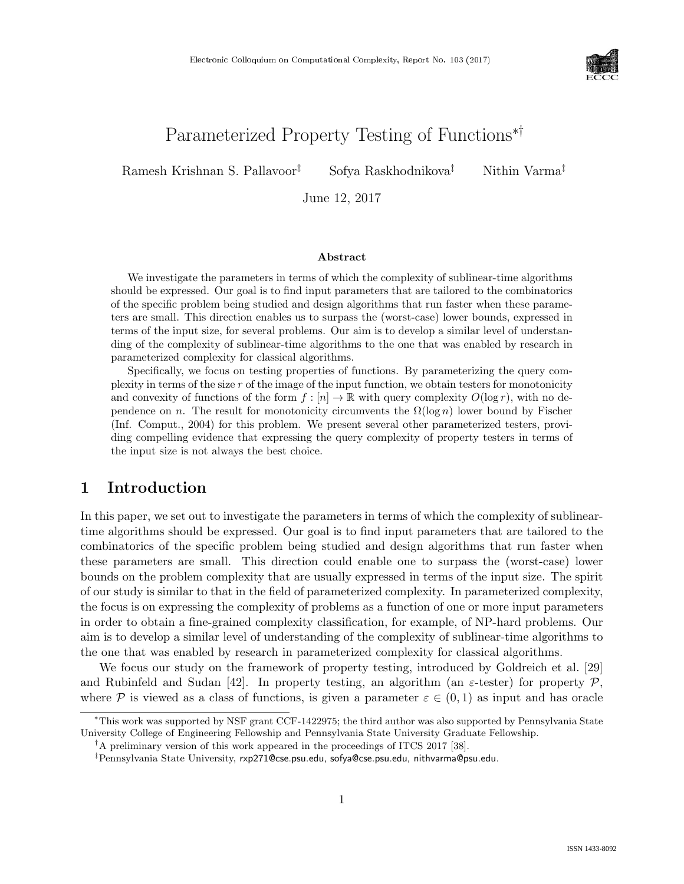

# Parameterized Property Testing of Functions∗†

Ramesh Krishnan S. Pallavoor<sup>‡</sup> Sofya Raskhodnikova<sup>‡</sup> Nithin Varma<sup>‡</sup>

June 12, 2017

### Abstract

We investigate the parameters in terms of which the complexity of sublinear-time algorithms should be expressed. Our goal is to find input parameters that are tailored to the combinatorics of the specific problem being studied and design algorithms that run faster when these parameters are small. This direction enables us to surpass the (worst-case) lower bounds, expressed in terms of the input size, for several problems. Our aim is to develop a similar level of understanding of the complexity of sublinear-time algorithms to the one that was enabled by research in parameterized complexity for classical algorithms.

Specifically, we focus on testing properties of functions. By parameterizing the query complexity in terms of the size  $r$  of the image of the input function, we obtain testers for monotonicity and convexity of functions of the form  $f : [n] \to \mathbb{R}$  with query complexity  $O(\log r)$ , with no dependence on n. The result for monotonicity circumvents the  $\Omega(\log n)$  lower bound by Fischer (Inf. Comput., 2004) for this problem. We present several other parameterized testers, providing compelling evidence that expressing the query complexity of property testers in terms of the input size is not always the best choice.

# 1 Introduction

In this paper, we set out to investigate the parameters in terms of which the complexity of sublineartime algorithms should be expressed. Our goal is to find input parameters that are tailored to the combinatorics of the specific problem being studied and design algorithms that run faster when these parameters are small. This direction could enable one to surpass the (worst-case) lower bounds on the problem complexity that are usually expressed in terms of the input size. The spirit of our study is similar to that in the field of parameterized complexity. In parameterized complexity, the focus is on expressing the complexity of problems as a function of one or more input parameters in order to obtain a fine-grained complexity classification, for example, of NP-hard problems. Our aim is to develop a similar level of understanding of the complexity of sublinear-time algorithms to the one that was enabled by research in parameterized complexity for classical algorithms.

We focus our study on the framework of property testing, introduced by Goldreich et al. [29] and Rubinfeld and Sudan [42]. In property testing, an algorithm (an  $\varepsilon$ -tester) for property P, where P is viewed as a class of functions, is given a parameter  $\varepsilon \in (0,1)$  as input and has oracle

<sup>∗</sup>This work was supported by NSF grant CCF-1422975; the third author was also supported by Pennsylvania State University College of Engineering Fellowship and Pennsylvania State University Graduate Fellowship.

<sup>†</sup>A preliminary version of this work appeared in the proceedings of ITCS 2017 [38].

<sup>‡</sup>Pennsylvania State University, rxp271@cse.psu.edu, sofya@cse.psu.edu, nithvarma@psu.edu.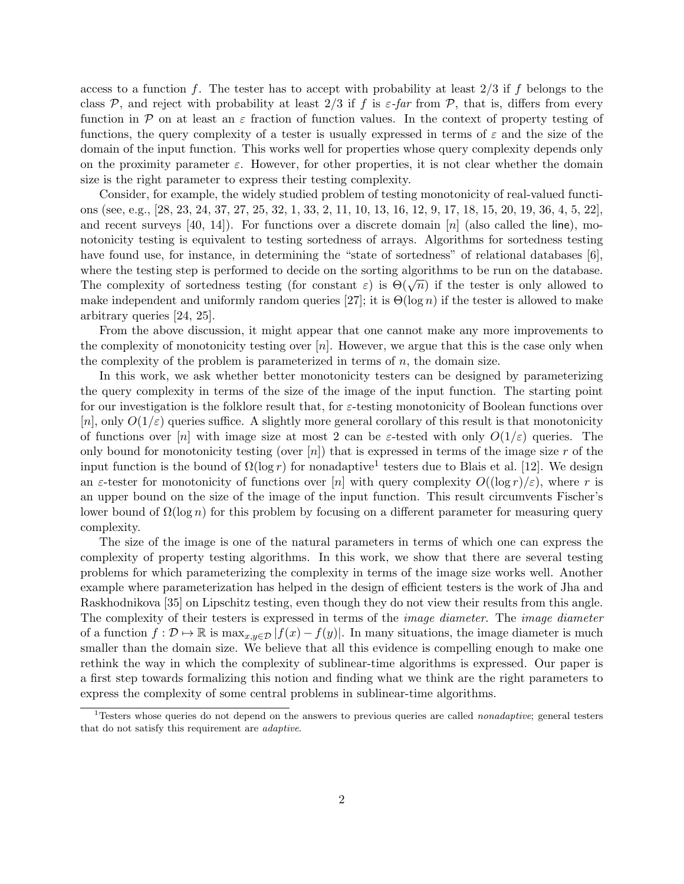access to a function f. The tester has to accept with probability at least  $2/3$  if f belongs to the class P, and reject with probability at least  $2/3$  if f is  $\varepsilon$ -far from P, that is, differs from every function in P on at least an  $\varepsilon$  fraction of function values. In the context of property testing of functions, the query complexity of a tester is usually expressed in terms of  $\varepsilon$  and the size of the domain of the input function. This works well for properties whose query complexity depends only on the proximity parameter  $\varepsilon$ . However, for other properties, it is not clear whether the domain size is the right parameter to express their testing complexity.

Consider, for example, the widely studied problem of testing monotonicity of real-valued functions (see, e.g., [28, 23, 24, 37, 27, 25, 32, 1, 33, 2, 11, 10, 13, 16, 12, 9, 17, 18, 15, 20, 19, 36, 4, 5, 22], and recent surveys [40, 14]). For functions over a discrete domain  $[n]$  (also called the line), monotonicity testing is equivalent to testing sortedness of arrays. Algorithms for sortedness testing have found use, for instance, in determining the "state of sortedness" of relational databases [6], where the testing step is performed to decide on the sorting algorithms to be run on the database. where the testing step is performed to decide on the sorting algorithms to be run on the database.<br>The complexity of sortedness testing (for constant  $\varepsilon$ ) is  $\Theta(\sqrt{n})$  if the tester is only allowed to make independent and uniformly random queries [27]; it is  $\Theta(\log n)$  if the tester is allowed to make arbitrary queries [24, 25].

From the above discussion, it might appear that one cannot make any more improvements to the complexity of monotonicity testing over  $[n]$ . However, we argue that this is the case only when the complexity of the problem is parameterized in terms of  $n$ , the domain size.

In this work, we ask whether better monotonicity testers can be designed by parameterizing the query complexity in terms of the size of the image of the input function. The starting point for our investigation is the folklore result that, for  $\varepsilon$ -testing monotonicity of Boolean functions over  $[n]$ , only  $O(1/\varepsilon)$  queries suffice. A slightly more general corollary of this result is that monotonicity of functions over [n] with image size at most 2 can be  $\varepsilon$ -tested with only  $O(1/\varepsilon)$  queries. The only bound for monotonicity testing (over  $[n]$ ) that is expressed in terms of the image size r of the input function is the bound of  $\Omega(\log r)$  for nonadaptive<sup>1</sup> testers due to Blais et al. [12]. We design an  $\varepsilon$ -tester for monotonicity of functions over [n] with query complexity  $O((\log r)/\varepsilon)$ , where r is an upper bound on the size of the image of the input function. This result circumvents Fischer's lower bound of  $\Omega(\log n)$  for this problem by focusing on a different parameter for measuring query complexity.

The size of the image is one of the natural parameters in terms of which one can express the complexity of property testing algorithms. In this work, we show that there are several testing problems for which parameterizing the complexity in terms of the image size works well. Another example where parameterization has helped in the design of efficient testers is the work of Jha and Raskhodnikova [35] on Lipschitz testing, even though they do not view their results from this angle. The complexity of their testers is expressed in terms of the *image diameter*. The *image diameter* of a function  $f: \mathcal{D} \mapsto \mathbb{R}$  is  $\max_{x,y \in \mathcal{D}} |f(x) - f(y)|$ . In many situations, the image diameter is much smaller than the domain size. We believe that all this evidence is compelling enough to make one rethink the way in which the complexity of sublinear-time algorithms is expressed. Our paper is a first step towards formalizing this notion and finding what we think are the right parameters to express the complexity of some central problems in sublinear-time algorithms.

<sup>&</sup>lt;sup>1</sup>Testers whose queries do not depend on the answers to previous queries are called *nonadaptive*; general testers that do not satisfy this requirement are adaptive.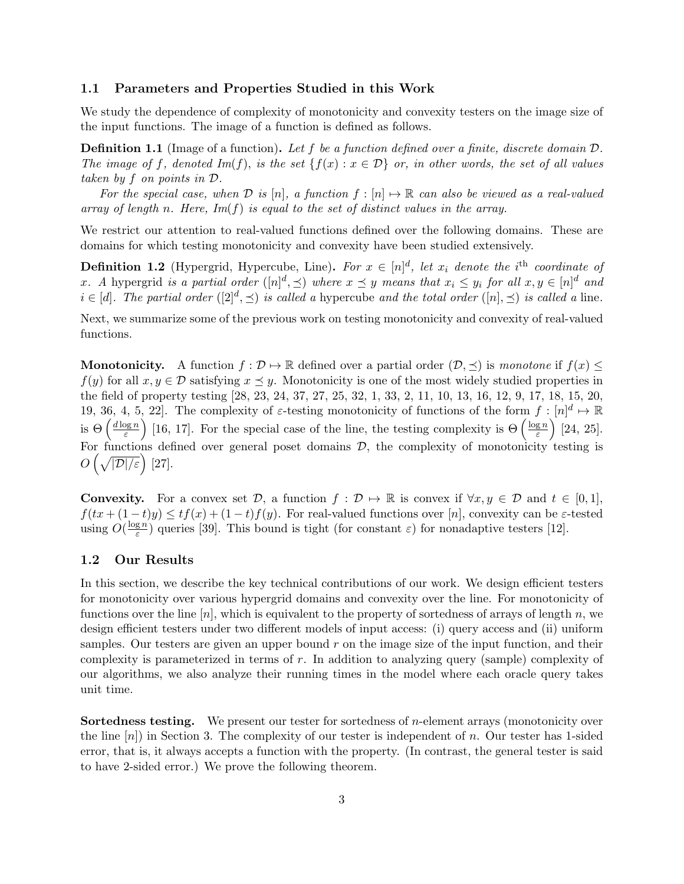### 1.1 Parameters and Properties Studied in this Work

We study the dependence of complexity of monotonicity and convexity testers on the image size of the input functions. The image of a function is defined as follows.

Definition 1.1 (Image of a function). Let f be a function defined over a finite, discrete domain D. The image of f, denoted  $Im(f)$ , is the set  $\{f(x) : x \in \mathcal{D}\}\$ or, in other words, the set of all values taken by f on points in D.

For the special case, when  $D$  is  $[n]$ , a function  $f : [n] \mapsto \mathbb{R}$  can also be viewed as a real-valued array of length n. Here,  $Im(f)$  is equal to the set of distinct values in the array.

We restrict our attention to real-valued functions defined over the following domains. These are domains for which testing monotonicity and convexity have been studied extensively.

**Definition 1.2** (Hypergrid, Hypercube, Line). For  $x \in [n]^d$ , let  $x_i$  denote the i<sup>th</sup> coordinate of x. A hypergrid is a partial order  $([n]^d, \preceq)$  where  $x \preceq y$  means that  $x_i \leq y_i$  for all  $x, y \in [n]^d$  and  $i \in [d]$ . The partial order  $([2]^d, \preceq)$  is called a hypercube and the total order  $([n], \preceq)$  is called a line.

Next, we summarize some of the previous work on testing monotonicity and convexity of real-valued functions.

**Monotonicity.** A function  $f : \mathcal{D} \to \mathbb{R}$  defined over a partial order  $(\mathcal{D}, \preceq)$  is monotone if  $f(x) \leq$  $f(y)$  for all  $x, y \in \mathcal{D}$  satisfying  $x \preceq y$ . Monotonicity is one of the most widely studied properties in the field of property testing [28, 23, 24, 37, 27, 25, 32, 1, 33, 2, 11, 10, 13, 16, 12, 9, 17, 18, 15, 20, 19, 36, 4, 5, 22. The complexity of  $\varepsilon$ -testing monotonicity of functions of the form  $f: [n]^d \mapsto \mathbb{R}$ is  $\Theta\left(\frac{d \log n}{\varepsilon}\right)$  $(\frac{\log n}{\varepsilon})$  [16, 17]. For the special case of the line, the testing complexity is  $\Theta\left(\frac{\log n}{\varepsilon}\right)$  $\left(\frac{g\,n}{\varepsilon}\right)$  [24, 25]. For functions defined over general poset domains  $D$ , the complexity of monotonicity testing is  $O\left(\sqrt{|\mathcal{D}|/\varepsilon}\right)$  [27].

**Convexity.** For a convex set  $\mathcal{D}$ , a function  $f : \mathcal{D} \mapsto \mathbb{R}$  is convex if  $\forall x, y \in \mathcal{D}$  and  $t \in [0, 1]$ ,  $f(tx+(1-t)y) \le tf(x)+(1-t)f(y)$ . For real-valued functions over [n], convexity can be  $\varepsilon$ -tested using  $O(\frac{\log n}{\epsilon})$  $(\frac{g n}{\varepsilon})$  queries [39]. This bound is tight (for constant  $\varepsilon$ ) for nonadaptive testers [12].

### 1.2 Our Results

In this section, we describe the key technical contributions of our work. We design efficient testers for monotonicity over various hypergrid domains and convexity over the line. For monotonicity of functions over the line  $[n]$ , which is equivalent to the property of sortedness of arrays of length n, we design efficient testers under two different models of input access: (i) query access and (ii) uniform samples. Our testers are given an upper bound  $r$  on the image size of the input function, and their complexity is parameterized in terms of r. In addition to analyzing query (sample) complexity of our algorithms, we also analyze their running times in the model where each oracle query takes unit time.

**Sortedness testing.** We present our tester for sortedness of  $n$ -element arrays (monotonicity over the line  $[n]$ ) in Section 3. The complexity of our tester is independent of n. Our tester has 1-sided error, that is, it always accepts a function with the property. (In contrast, the general tester is said to have 2-sided error.) We prove the following theorem.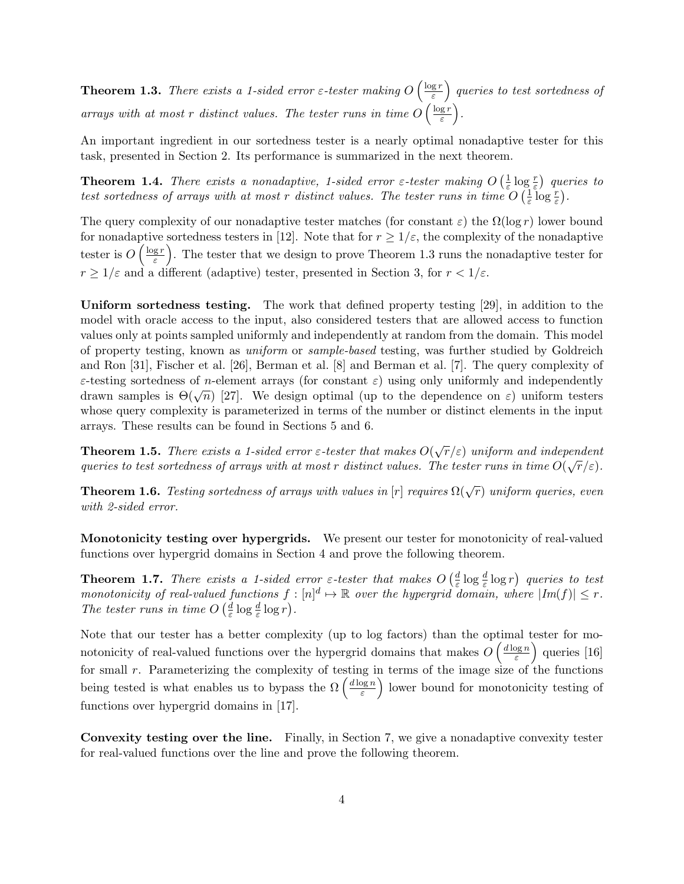**Theorem 1.3.** There exists a 1-sided error  $\varepsilon$ -tester making  $O\left(\frac{\log r}{\varepsilon}\right)$  $\left(\frac{\text{g}\, r}{\text{\varepsilon}}\right)$  queries to test sortedness of arrays with at most r distinct values. The tester runs in time  $O\left(\frac{\log r}{\varepsilon}\right)$  $\frac{\lg r}{\varepsilon}\biggr)$ .

An important ingredient in our sortedness tester is a nearly optimal nonadaptive tester for this task, presented in Section 2. Its performance is summarized in the next theorem.

**Theorem 1.4.** There exists a nonadaptive, 1-sided error  $\varepsilon$ -tester making  $O\left(\frac{1}{\varepsilon}\right)$  $\frac{1}{\varepsilon} \log \frac{r}{\varepsilon}$ ) queries to test sortedness of arrays with at most r distinct values. The tester runs in time  $O(\frac{1}{\varepsilon})$  $rac{1}{\varepsilon} \log \frac{r}{\varepsilon}$ .

The query complexity of our nonadaptive tester matches (for constant  $\varepsilon$ ) the  $\Omega(\log r)$  lower bound for nonadaptive sortedness testers in [12]. Note that for  $r \geq 1/\varepsilon$ , the complexity of the nonadaptive tester is  $O\left(\frac{\log r}{\varepsilon}\right)$  $\left(\frac{g r}{\varepsilon}\right)$ . The tester that we design to prove Theorem 1.3 runs the nonadaptive tester for  $r \geq 1/\varepsilon$  and a different (adaptive) tester, presented in Section 3, for  $r < 1/\varepsilon$ .

Uniform sortedness testing. The work that defined property testing [29], in addition to the model with oracle access to the input, also considered testers that are allowed access to function values only at points sampled uniformly and independently at random from the domain. This model of property testing, known as uniform or sample-based testing, was further studied by Goldreich and Ron [31], Fischer et al. [26], Berman et al. [8] and Berman et al. [7]. The query complexity of  $\varepsilon$ -testing sortedness of *n*-element arrays (for constant  $\varepsilon$ ) using only uniformly and independently  $\varepsilon$ -essing sortenness of *n*-element arrays (for constant  $\varepsilon$ ) using only uniformly and independently drawn samples is  $\Theta(\sqrt{n})$  [27]. We design optimal (up to the dependence on  $\varepsilon$ ) uniform testers whose query complexity is parameterized in terms of the number or distinct elements in the input arrays. These results can be found in Sections 5 and 6.

**Theorem 1.5.** There exists a 1-sided error  $\varepsilon$ -tester that makes  $O(\sqrt{r}/\varepsilon)$  uniform and independent queries to test sortedness of arrays with at most r distinct values. The tester runs in time  $O(\sqrt{r}/\varepsilon)$ .

**Theorem 1.6.** Testing sortedness of arrays with values in [r] requires  $\Omega(\sqrt{r})$  uniform queries, even with 2-sided error.

Monotonicity testing over hypergrids. We present our tester for monotonicity of real-valued functions over hypergrid domains in Section 4 and prove the following theorem.

**Theorem 1.7.** There exists a 1-sided error  $\varepsilon$ -tester that makes  $O\left(\frac{d}{\varepsilon}\log \frac{d}{\varepsilon}\log r\right)$  queries to test **EXECUTE:** The exists a 1-state error e-tester that makes  $O\left(\frac{1}{\varepsilon}\log\frac{1}{\varepsilon}\log t\right)$  queries to test<br>monotonicity of real-valued functions  $f: [n]^d \mapsto \mathbb{R}$  over the hypergrid domain, where  $|Im(f)| \leq r$ . The tester runs in time  $O\left(\frac{d}{\varepsilon}\right)$  $\frac{d}{\varepsilon} \log \frac{d}{\varepsilon} \log r$ .

Note that our tester has a better complexity (up to log factors) than the optimal tester for monotonicity of real-valued functions over the hypergrid domains that makes  $O\left(\frac{d \log n}{\varepsilon}\right)$  $\left(\frac{\log n}{\varepsilon}\right)$  queries [16] for small r. Parameterizing the complexity of testing in terms of the image size of the functions being tested is what enables us to bypass the  $\Omega\left(\frac{d\log n}{\varepsilon}\right)$  $\left(\frac{\log n}{\varepsilon}\right)$  lower bound for monotonicity testing of functions over hypergrid domains in [17].

Convexity testing over the line. Finally, in Section 7, we give a nonadaptive convexity tester for real-valued functions over the line and prove the following theorem.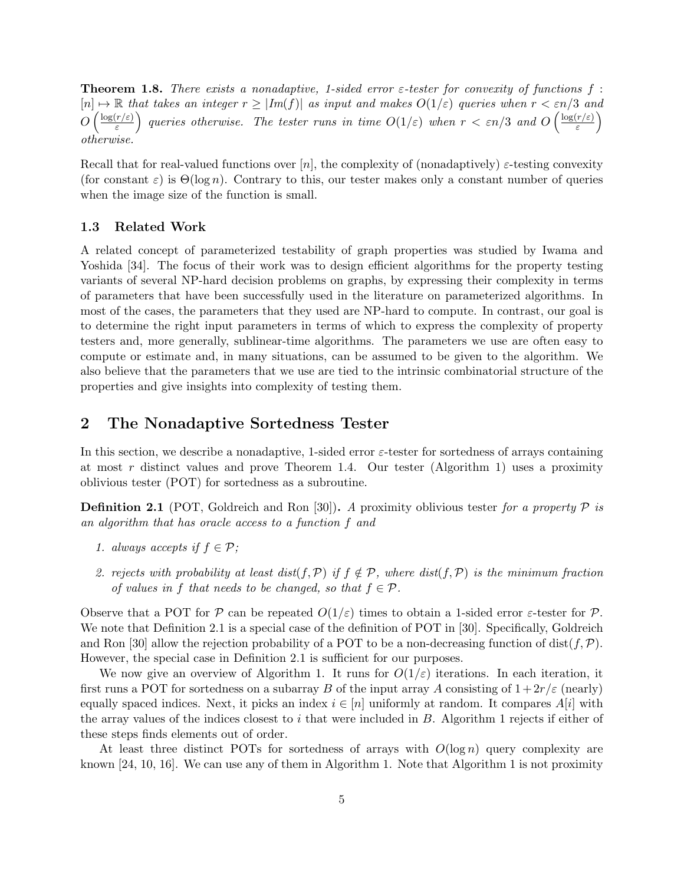**Theorem 1.8.** There exists a nonadaptive, 1-sided error  $\varepsilon$ -tester for convexity of functions f:  $[n] \mapsto \mathbb{R}$  that takes an integer  $r \geq |Im(f)|$  as input and makes  $O(1/\varepsilon)$  queries when  $r < \varepsilon n/3$  and  $O\left(\frac{\log(r/\varepsilon)}{\varepsilon}\right)$  $\left(\frac{r/\varepsilon)}{\varepsilon}\right)$  queries otherwise. The tester runs in time  $O(1/\varepsilon)$  when  $r < \varepsilon n/3$  and  $O\left(\frac{\log(r/\varepsilon)}{\varepsilon}\right)$  $\left(\frac{r/\varepsilon)}{\varepsilon}\right)$ otherwise.

Recall that for real-valued functions over [n], the complexity of (nonadaptively)  $\varepsilon$ -testing convexity (for constant  $\varepsilon$ ) is  $\Theta(\log n)$ . Contrary to this, our tester makes only a constant number of queries when the image size of the function is small.

### 1.3 Related Work

A related concept of parameterized testability of graph properties was studied by Iwama and Yoshida [34]. The focus of their work was to design efficient algorithms for the property testing variants of several NP-hard decision problems on graphs, by expressing their complexity in terms of parameters that have been successfully used in the literature on parameterized algorithms. In most of the cases, the parameters that they used are NP-hard to compute. In contrast, our goal is to determine the right input parameters in terms of which to express the complexity of property testers and, more generally, sublinear-time algorithms. The parameters we use are often easy to compute or estimate and, in many situations, can be assumed to be given to the algorithm. We also believe that the parameters that we use are tied to the intrinsic combinatorial structure of the properties and give insights into complexity of testing them.

# 2 The Nonadaptive Sortedness Tester

In this section, we describe a nonadaptive, 1-sided error  $\varepsilon$ -tester for sortedness of arrays containing at most r distinct values and prove Theorem 1.4. Our tester (Algorithm 1) uses a proximity oblivious tester (POT) for sortedness as a subroutine.

**Definition 2.1** (POT, Goldreich and Ron [30]). A proximity oblivious tester for a property  $P$  is an algorithm that has oracle access to a function f and

- 1. always accepts if  $f \in \mathcal{P}$ ;
- 2. rejects with probability at least dist(f, P) if  $f \notin \mathcal{P}$ , where dist(f, P) is the minimum fraction of values in f that needs to be changed, so that  $f \in \mathcal{P}$ .

Observe that a POT for P can be repeated  $O(1/\varepsilon)$  times to obtain a 1-sided error  $\varepsilon$ -tester for P. We note that Definition 2.1 is a special case of the definition of POT in [30]. Specifically, Goldreich and Ron [30] allow the rejection probability of a POT to be a non-decreasing function of dist $(f, \mathcal{P})$ . However, the special case in Definition 2.1 is sufficient for our purposes.

We now give an overview of Algorithm 1. It runs for  $O(1/\varepsilon)$  iterations. In each iteration, it first runs a POT for sortedness on a subarray B of the input array A consisting of  $1+2r/\varepsilon$  (nearly) equally spaced indices. Next, it picks an index  $i \in [n]$  uniformly at random. It compares  $A[i]$  with the array values of the indices closest to i that were included in  $B$ . Algorithm 1 rejects if either of these steps finds elements out of order.

At least three distinct POTs for sortedness of arrays with  $O(\log n)$  query complexity are known [24, 10, 16]. We can use any of them in Algorithm 1. Note that Algorithm 1 is not proximity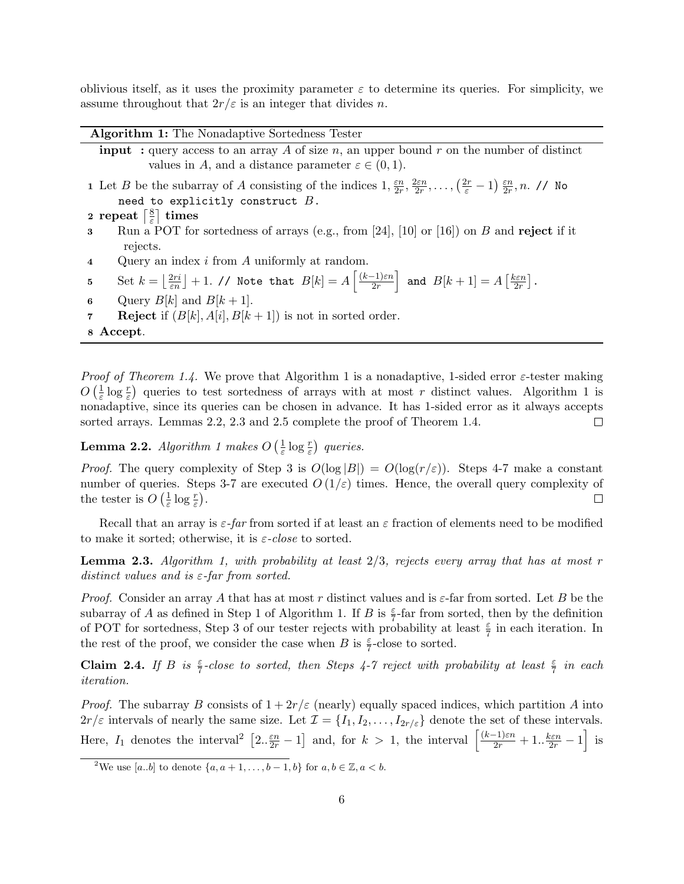oblivious itself, as it uses the proximity parameter  $\varepsilon$  to determine its queries. For simplicity, we assume throughout that  $2r/\varepsilon$  is an integer that divides n.

| <b>Algorithm 1:</b> The Nonadaptive Sortedness Tester                                                                                                                                              |
|----------------------------------------------------------------------------------------------------------------------------------------------------------------------------------------------------|
| <b>input</b> : query access to an array A of size n, an upper bound r on the number of distinct                                                                                                    |
| values in A, and a distance parameter $\varepsilon \in (0,1)$ .                                                                                                                                    |
| 1 Let B be the subarray of A consisting of the indices $1, \frac{\varepsilon n}{2r}, \frac{2\varepsilon n}{2r}, \ldots, \left(\frac{2r}{\varepsilon}-1\right) \frac{\varepsilon n}{2r}, n$ . // No |
| need to explicitly construct $B$ .                                                                                                                                                                 |
| 2 repeat $\left[\frac{8}{5}\right]$ times                                                                                                                                                          |
| Run a POT for sortedness of arrays (e.g., from [24], [10] or [16]) on $B$ and reject if it                                                                                                         |
| rejects.                                                                                                                                                                                           |
| Query an index $i$ from $A$ uniformly at random.                                                                                                                                                   |
|                                                                                                                                                                                                    |

5 Set  $k = \left\lfloor \frac{2ri}{\varepsilon n} \right\rfloor + 1$ . // Note that  $B[k] = A\left\lceil \frac{(k-1)\varepsilon n}{2r} \right\rceil$  $\left\lfloor\frac{(-1)\varepsilon n}{2r}\right\rfloor$  and  $B[k+1]=A\left[\frac{k\varepsilon n}{2r}\right]$  $\frac{\iota\varepsilon n}{2r}$ .

- 6 Query  $B[k]$  and  $B[k+1]$ .
- **7** Reject if  $(B[k], A[i], B[k+1])$  is not in sorted order.

8 Accept.

*Proof of Theorem 1.4.* We prove that Algorithm 1 is a nonadaptive, 1-sided error  $\varepsilon$ -tester making  $O\left(\frac{1}{\varepsilon}\right)$  $\frac{1}{\varepsilon}$  log  $\frac{r}{\varepsilon}$ ) queries to test sortedness of arrays with at most r distinct values. Algorithm 1 is nonadaptive, since its queries can be chosen in advance. It has 1-sided error as it always accepts sorted arrays. Lemmas 2.2, 2.3 and 2.5 complete the proof of Theorem 1.4.  $\Box$ 

**Lemma 2.2.** Algorithm 1 makes  $O\left(\frac{1}{\varepsilon}\right)$  $\frac{1}{\varepsilon} \log \frac{r}{\varepsilon}$ ) queries.

*Proof.* The query complexity of Step 3 is  $O(\log |B|) = O(\log(r/\varepsilon))$ . Steps 4-7 make a constant number of queries. Steps 3-7 are executed  $O(1/\varepsilon)$  times. Hence, the overall query complexity of the tester is  $O\left(\frac{1}{\varepsilon}\right)$  $\frac{1}{\varepsilon} \log \frac{r}{\varepsilon}$ .  $\Box$ 

Recall that an array is  $\varepsilon$ -far from sorted if at least an  $\varepsilon$  fraction of elements need to be modified to make it sorted; otherwise, it is  $\varepsilon$ -close to sorted.

**Lemma 2.3.** Algorithm 1, with probability at least  $2/3$ , rejects every array that has at most r distinct values and is  $\varepsilon$ -far from sorted.

*Proof.* Consider an array A that has at most r distinct values and is  $\varepsilon$ -far from sorted. Let B be the subarray of A as defined in Step 1 of Algorithm 1. If B is  $\frac{\varepsilon}{7}$ -far from sorted, then by the definition of POT for sortedness, Step 3 of our tester rejects with probability at least  $\frac{\varepsilon}{7}$  in each iteration. In the rest of the proof, we consider the case when B is  $\frac{\varepsilon}{7}$ -close to sorted.

**Claim 2.4.** If B is  $\frac{\varepsilon}{7}$ -close to sorted, then Steps 4-7 reject with probability at least  $\frac{\varepsilon}{7}$  in each iteration.

*Proof.* The subarray B consists of  $1+2r/\varepsilon$  (nearly) equally spaced indices, which partition A into  $2r/\varepsilon$  intervals of nearly the same size. Let  $\mathcal{I} = \{I_1, I_2, \ldots, I_{2r/\varepsilon}\}\$  denote the set of these intervals. Here,  $I_1$  denotes the interval<sup>2</sup>  $\left[2 \cdot \frac{\varepsilon n}{2r} - 1\right]$  and, for  $k > 1$ , the interval  $\left[\frac{(k-1)\varepsilon n}{2r} + 1 \cdot \frac{k\varepsilon n}{2r} - 1\right]$  is

<sup>&</sup>lt;sup>2</sup>We use [a.b] to denote  $\{a, a+1, \ldots, b-1, b\}$  for  $a, b \in \mathbb{Z}, a < b$ .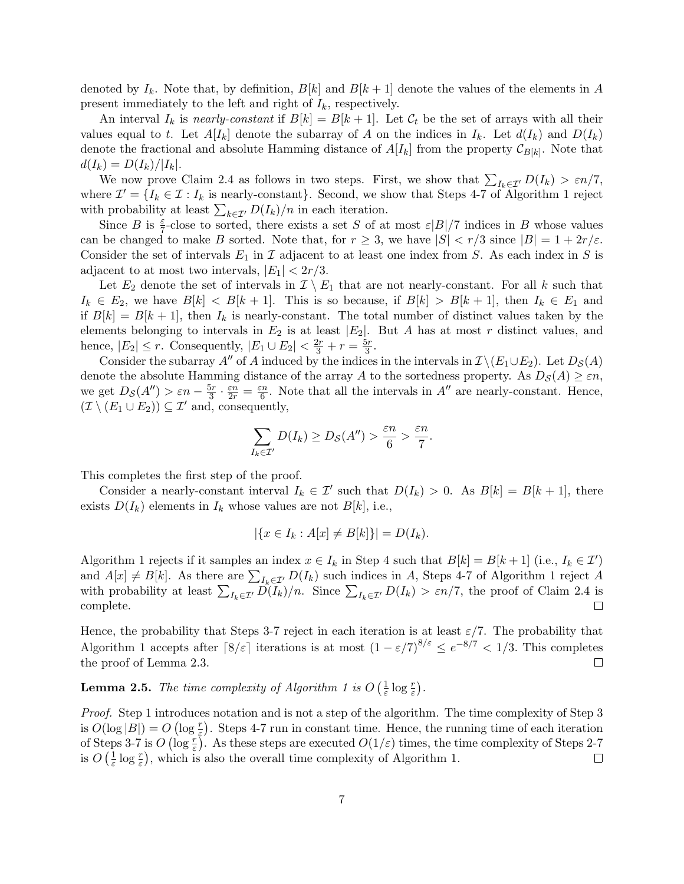denoted by  $I_k$ . Note that, by definition,  $B[k]$  and  $B[k+1]$  denote the values of the elements in A present immediately to the left and right of  $I_k$ , respectively.

An interval  $I_k$  is nearly-constant if  $B[k] = B[k+1]$ . Let  $\mathcal{C}_t$  be the set of arrays with all their values equal to t. Let  $A[I_k]$  denote the subarray of A on the indices in  $I_k$ . Let  $d(I_k)$  and  $D(I_k)$ denote the fractional and absolute Hamming distance of  $A[I_k]$  from the property  $\mathcal{C}_{B[k]}$ . Note that  $d(I_k) = D(I_k)/|I_k|.$ 

We now prove Claim 2.4 as follows in two steps. First, we show that  $\sum_{I_k \in \mathcal{I}'} D(I_k) > \varepsilon n/7$ , where  $\mathcal{I}' = \{I_k \in \mathcal{I} : I_k \text{ is nearly-constant}\}\.$  Second, we show that Steps 4-7 of Algorithm 1 reject with probability at least  $\sum_{k \in \mathcal{I}'} D(I_k)/n$  in each iteration.

Since B is  $\frac{\varepsilon}{7}$ -close to sorted, there exists a set S of at most  $\varepsilon|B|/7$  indices in B whose values can be changed to make B sorted. Note that, for  $r \geq 3$ , we have  $|S| < r/3$  since  $|B| = 1 + 2r/\varepsilon$ . Consider the set of intervals  $E_1$  in  $\mathcal I$  adjacent to at least one index from S. As each index in S is adjacent to at most two intervals,  $|E_1| < 2r/3$ .

Let  $E_2$  denote the set of intervals in  $\mathcal{I} \setminus E_1$  that are not nearly-constant. For all k such that  $I_k \in E_2$ , we have  $B[k] < B[k+1]$ . This is so because, if  $B[k] > B[k+1]$ , then  $I_k \in E_1$  and if  $B[k] = B[k+1]$ , then  $I_k$  is nearly-constant. The total number of distinct values taken by the elements belonging to intervals in  $E_2$  is at least  $|E_2|$ . But A has at most r distinct values, and hence,  $|E_2| \le r$ . Consequently,  $|E_1 \cup E_2| < \frac{2r}{3} + r = \frac{5r}{3}$  $\frac{5r}{3}$ .

Consider the subarray A" of A induced by the indices in the intervals in  $\mathcal{I} \setminus (E_1 \cup E_2)$ . Let  $D_{\mathcal{S}}(A)$ denote the absolute Hamming distance of the array A to the sortedness property. As  $D_{\mathcal{S}}(A) \geq \varepsilon n$ . we get  $D_{\mathcal{S}}(A'') > \varepsilon n - \frac{5r}{3}$  $\frac{5r}{3}\cdot\frac{\varepsilon n}{2r}=\frac{\varepsilon n}{6}$  $\frac{m}{6}$ . Note that all the intervals in  $A''$  are nearly-constant. Hence,  $(\mathcal{I} \setminus (E_1 \cup E_2)) \subseteq \mathcal{I}'$  and, consequently,

$$
\sum_{I_k \in \mathcal{I}'} D(I_k) \geq D_{\mathcal{S}}(A'') > \frac{\varepsilon n}{6} > \frac{\varepsilon n}{7}.
$$

This completes the first step of the proof.

Consider a nearly-constant interval  $I_k \in \mathcal{I}'$  such that  $D(I_k) > 0$ . As  $B[k] = B[k+1]$ , there exists  $D(I_k)$  elements in  $I_k$  whose values are not  $B[k]$ , i.e.,

$$
|\{x \in I_k : A[x] \neq B[k]\}| = D(I_k).
$$

Algorithm 1 rejects if it samples an index  $x \in I_k$  in Step 4 such that  $B[k] = B[k+1]$  (i.e.,  $I_k \in \mathcal{I}'$ ) and  $A[x] \neq B[k]$ . As there are  $\sum_{I_k \in \mathcal{I}'} D(I_k)$  such indices in A, Steps 4-7 of Algorithm 1 reject A with probability at least  $\sum_{I_k\in\mathcal{I}'} D(I_k)/n$ . Since  $\sum_{I_k\in\mathcal{I}'} D(I_k) > \varepsilon n/7$ , the proof of Claim 2.4 is complete.

Hence, the probability that Steps 3-7 reject in each iteration is at least  $\varepsilon/7$ . The probability that Algorithm 1 accepts after  $\lceil 8/\varepsilon \rceil$  iterations is at most  $(1 - \varepsilon/7)^{8/\varepsilon} \leq e^{-8/7} < 1/3$ . This completes the proof of Lemma 2.3.  $\Box$ 

**Lemma 2.5.** The time complexity of Algorithm 1 is  $O\left(\frac{1}{\varepsilon}\right)$  $\frac{1}{\varepsilon} \log \frac{r}{\varepsilon}$ .

Proof. Step 1 introduces notation and is not a step of the algorithm. The time complexity of Step 3 is  $O(\log |B|) = O(\log \frac{r}{\varepsilon})$ . Steps 4-7 run in constant time. Hence, the running time of each iteration of Steps 3-7 is  $O(\log \frac{r}{\varepsilon})$ . As these steps are executed  $O(1/\varepsilon)$  times, the time complexity of Steps 2-7 is  $O\left(\frac{1}{\varepsilon}\right)$  $\frac{1}{\varepsilon} \log \frac{r}{\varepsilon}$ , which is also the overall time complexity of Algorithm 1.  $\Box$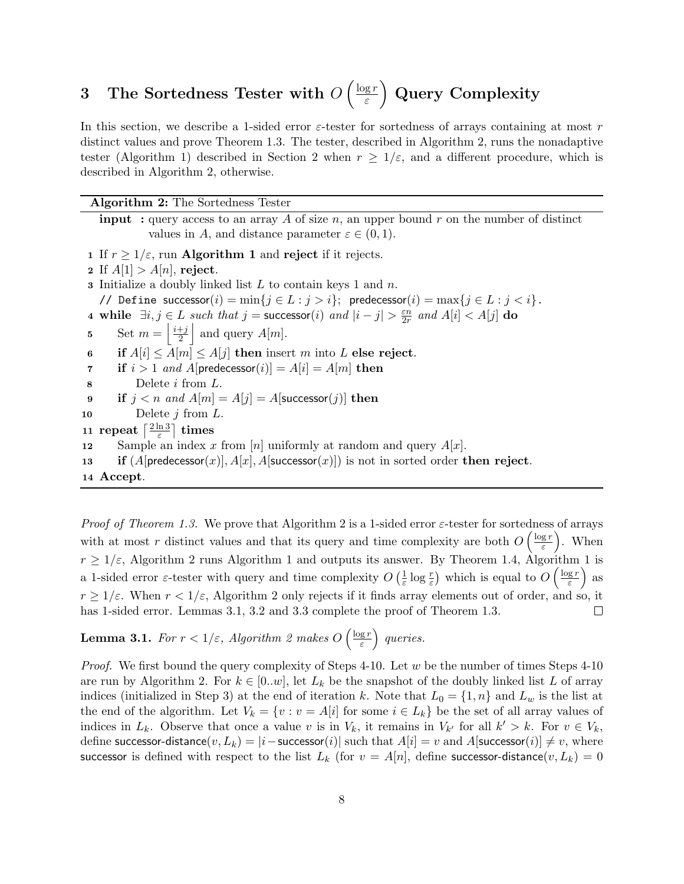#### 3 The Sortedness Tester with  $O\left(\frac{\log r}{\varepsilon}\right)$ ε Query Complexity

In this section, we describe a 1-sided error  $\varepsilon$ -tester for sortedness of arrays containing at most r distinct values and prove Theorem 1.3. The tester, described in Algorithm 2, runs the nonadaptive tester (Algorithm 1) described in Section 2 when  $r \geq 1/\varepsilon$ , and a different procedure, which is described in Algorithm 2, otherwise.

Algorithm 2: The Sortedness Tester

**input** : query access to an array A of size n, an upper bound r on the number of distinct values in A, and distance parameter  $\varepsilon \in (0,1)$ . 1 If  $r \geq 1/\varepsilon$ , run **Algorithm 1** and reject if it rejects. 2 If  $A[1] > A[n]$ , reject. **3** Initialize a doubly linked list  $L$  to contain keys 1 and  $n$ . // Define successor $(i) = \min\{j \in L : j > i\}$ ; predecessor $(i) = \max\{j \in L : j < i\}$ . 4 while  $\exists i, j \in L$  such that  $j =$  successor(i) and  $|i - j| > \frac{\varepsilon n}{2r}$  $\frac{\varepsilon n}{2r}$  and  $A[i] < A[j]$  do 5 Set  $m = \left\lfloor \frac{i+j}{2} \right\rfloor$  $\frac{+j}{2}$  and query  $A[m]$ . 6 if  $A[i] \leq A[m] \leq A[j]$  then insert m into L else reject. 7 if  $i > 1$  and A[predecessor(i)] = A[i] = A[m] then  $8$  Delete *i* from  $L$ . 9 if  $j < n$  and  $A[m] = A[j] = A$ [successor(j)] then 10 Delete  $j$  from  $L$ . 11 repeat  $\left[\frac{2 \ln 3}{5}\right]$  $\left\lfloor\frac{\ln3}{\varepsilon}\right\rceil$  times 12 Sample an index x from [n] uniformly at random and query  $A[x]$ . 13 if  $(A[\text{predecessor}(x)], A[x], A[\text{successor}(x)])$  is not in sorted order then reject. 14 Accept.

*Proof of Theorem 1.3.* We prove that Algorithm 2 is a 1-sided error  $\varepsilon$ -tester for sortedness of arrays with at most r distinct values and that its query and time complexity are both  $O\left(\frac{\log r}{\varepsilon}\right)$  $\left(\frac{gr}{\varepsilon}\right)$ . When  $r \geq 1/\varepsilon$ , Algorithm 2 runs Algorithm 1 and outputs its answer. By Theorem 1.4, Algorithm 1 is  $\frac{1}{\varepsilon} \log \frac{r}{\varepsilon}$  which is equal to  $O\left(\frac{\log r}{\varepsilon}\right)$  $\frac{\lg r}{\varepsilon}$ ) as a 1-sided error  $\varepsilon$ -tester with query and time complexity  $O\left(\frac{1}{\varepsilon}\right)$  $r \geq 1/\varepsilon$ . When  $r < 1/\varepsilon$ , Algorithm 2 only rejects if it finds array elements out of order, and so, it has 1-sided error. Lemmas 3.1, 3.2 and 3.3 complete the proof of Theorem 1.3.  $\Box$ 

**Lemma 3.1.** For  $r < 1/\varepsilon$ , Algorithm 2 makes  $O\left(\frac{\log r}{\varepsilon}\right)$  $\left(\frac{gr}{\varepsilon}\right)$  queries.

*Proof.* We first bound the query complexity of Steps 4-10. Let  $w$  be the number of times Steps 4-10 are run by Algorithm 2. For  $k \in [0..w]$ , let  $L_k$  be the snapshot of the doubly linked list L of array indices (initialized in Step 3) at the end of iteration k. Note that  $L_0 = \{1, n\}$  and  $L_w$  is the list at the end of the algorithm. Let  $V_k = \{v : v = A[i] \text{ for some } i \in L_k\}$  be the set of all array values of indices in  $L_k$ . Observe that once a value v is in  $V_k$ , it remains in  $V_{k'}$  for all  $k' > k$ . For  $v \in V_k$ , define successor-distance $(v, L_k) = |i-\text{successor}(i)|$  such that  $A[i] = v$  and  $A[\text{successor}(i)] \neq v$ , where successor is defined with respect to the list  $L_k$  (for  $v = A[n]$ , define successor-distance $(v, L_k) = 0$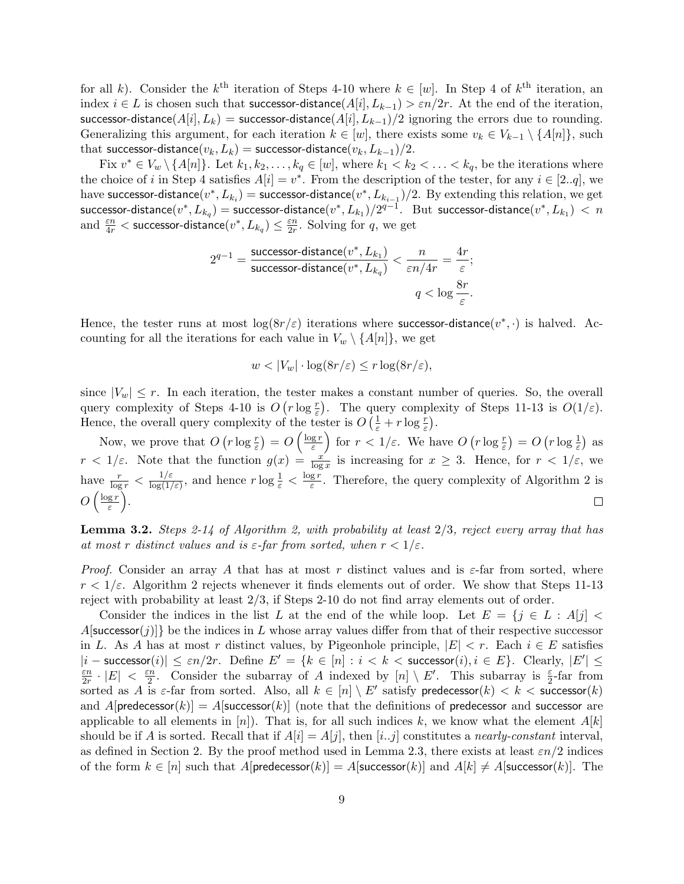for all k). Consider the  $k^{\text{th}}$  iteration of Steps 4-10 where  $k \in [w]$ . In Step 4 of  $k^{\text{th}}$  iteration, an index  $i \in L$  is chosen such that successor-distance( $A[i], L_{k-1}$ ) >  $\varepsilon n/2r$ . At the end of the iteration, successor-distance( $A[i], L_k$ ) = successor-distance( $A[i], L_{k-1}$ )/2 ignoring the errors due to rounding. Generalizing this argument, for each iteration  $k \in [w]$ , there exists some  $v_k \in V_{k-1} \setminus \{A[n]\}$ , such that successor-distance $(v_k, L_k)$  = successor-distance $(v_k, L_{k-1})/2$ .

Fix  $v^* \in V_w \setminus \{A[n]\}.$  Let  $k_1, k_2, \ldots, k_q \in [w]$ , where  $k_1 < k_2 < \ldots < k_q$ , be the iterations where the choice of i in Step 4 satisfies  $A[i] = v^*$ . From the description of the tester, for any  $i \in [2..q]$ , we have successor-distance $(v^*, L_{k_i})$  = successor-distance $(v^*, L_{k_{i-1}})/2$ . By extending this relation, we get successor-distance $(v^*,L_{k_q}) =$  successor-distance $(v^*,L_{k_1})/2^{q-1}.$   $\;$   $\;$   $\;$  But  $\;$  successor-distance $(v^*,L_{k_1}) \; < \; n$ and  $\frac{\varepsilon n}{4r} <$  successor-distance $(v^*, L_{k_q}) \leq \frac{\varepsilon n}{2r}$  $\frac{\varepsilon n}{2r}$ . Solving for q, we get

$$
2^{q-1} = \frac{\text{successor-distance}(v^*, L_{k_1})}{\text{successor-distance}(v^*, L_{k_q})} < \frac{n}{\varepsilon n/4r} = \frac{4r}{\varepsilon};
$$
\n
$$
q < \log \frac{8r}{\varepsilon}.
$$

Hence, the tester runs at most  $log(8r/\varepsilon)$  iterations where successor-distance $(v^*, \cdot)$  is halved. Accounting for all the iterations for each value in  $V_w \setminus \{A[n]\}\text{, we get}$ 

$$
w < |V_w| \cdot \log(8r/\varepsilon) \le r \log(8r/\varepsilon),
$$

since  $|V_w| \leq r$ . In each iteration, the tester makes a constant number of queries. So, the overall query complexity of Steps 4-10 is  $O(r \log \frac{r}{\varepsilon})$ . The query complexity of Steps 11-13 is  $O(1/\varepsilon)$ . Hence, the overall query complexity of the tester is  $O\left(\frac{1}{\varepsilon} + r \log \frac{r}{\varepsilon}\right)$ .

Now, we prove that  $O(r \log \frac{r}{\varepsilon}) = O\left(\frac{\log r}{\varepsilon}\right)$  $\left(\frac{gr}{\varepsilon}\right)$  for  $r < 1/\varepsilon$ . We have  $O(r \log \frac{r}{\varepsilon}) = O(r \log \frac{1}{\varepsilon})$  as  $r < 1/\varepsilon$ . Note that the function  $g(x) = \frac{x'}{\log x}$  is increasing for  $x \geq 3$ . Hence, for  $r < 1/\varepsilon$ , we have  $\frac{r}{\log r} < \frac{1/\varepsilon}{\log(1/\varepsilon)}$  $\frac{1/\varepsilon}{\log(1/\varepsilon)}$ , and hence  $r \log \frac{1}{\varepsilon} < \frac{\log r}{\varepsilon}$  $\frac{gr}{\varepsilon}$ . Therefore, the query complexity of Algorithm 2 is  $O\left(\frac{\log r}{\varepsilon}\right)$  $\frac{\mathrm{g}\,r}{\varepsilon}\biggr).$  $\Box$ 

**Lemma 3.2.** Steps 2-14 of Algorithm 2, with probability at least  $2/3$ , reject every array that has at most r distinct values and is  $\varepsilon$ -far from sorted, when  $r < 1/\varepsilon$ .

*Proof.* Consider an array A that has at most r distinct values and is  $\varepsilon$ -far from sorted, where  $r < 1/\varepsilon$ . Algorithm 2 rejects whenever it finds elements out of order. We show that Steps 11-13 reject with probability at least 2/3, if Steps 2-10 do not find array elements out of order.

Consider the indices in the list L at the end of the while loop. Let  $E = \{j \in L : A[j] \leq \}$  $A$ [successor(j)]} be the indices in L whose array values differ from that of their respective successor in L. As A has at most r distinct values, by Pigeonhole principle,  $|E| < r$ . Each  $i \in E$  satisfies  $|i - \text{successor}(i)| \leq \varepsilon n/2r$ . Define  $E' = \{k \in [n] : i < k < \text{successor}(i), i \in E\}$ . Clearly,  $|E'| \leq$ εn  $\frac{\varepsilon n}{2r} \cdot |E| \; < \; \frac{\varepsilon n}{2}$  $\frac{2n}{2}$ . Consider the subarray of A indexed by  $[n] \setminus E'$ . This subarray is  $\frac{1}{2}$ -far from sorted as A is  $\varepsilon$ -far from sorted. Also, all  $k \in [n] \setminus E'$  satisfy predecessor $(k) < k <$  successor $(k)$ and  $A[\text{predecessor}(k)] = A[\text{successor}(k)]$  (note that the definitions of predecessor and successor are applicable to all elements in [n]). That is, for all such indices k, we know what the element  $A[k]$ should be if A is sorted. Recall that if  $A[i] = A[j]$ , then [i..j] constitutes a nearly-constant interval, as defined in Section 2. By the proof method used in Lemma 2.3, there exists at least  $\varepsilon n/2$  indices of the form  $k \in [n]$  such that  $A[\text{predecessor}(k)] = A[\text{successor}(k)]$  and  $A[k] \neq A[\text{successor}(k)]$ . The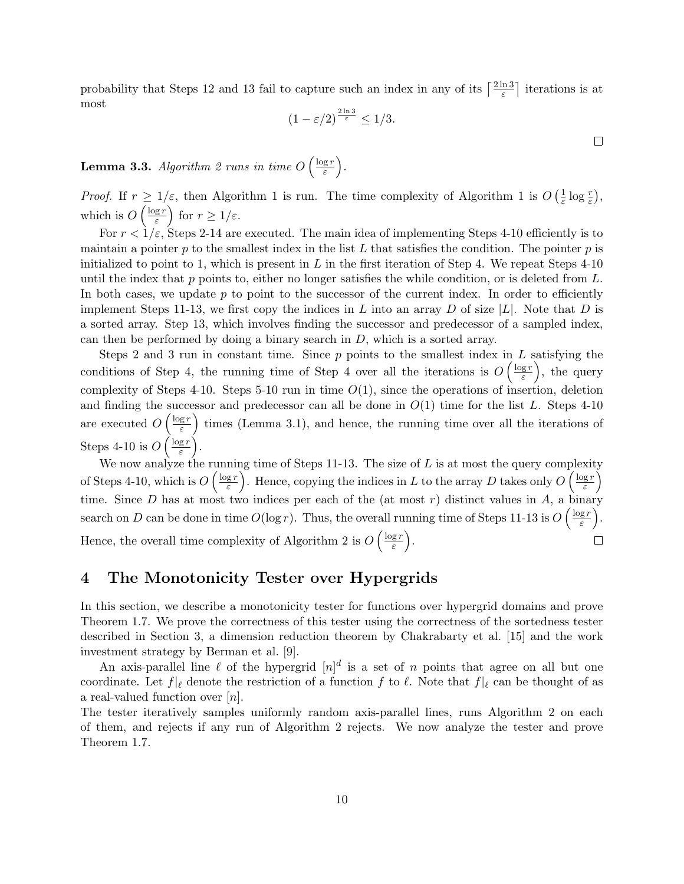probability that Steps 12 and 13 fail to capture such an index in any of its  $\lceil \frac{2 \ln 3}{5} \rceil$  $\frac{\ln 3}{\varepsilon}$  iterations is at most

$$
(1 - \varepsilon/2)^{\frac{2\ln 3}{\varepsilon}} \le 1/3.
$$

 $\Box$ 

**Lemma 3.3.** Algorithm 2 runs in time  $O\left(\frac{\log r}{\varepsilon}\right)$  $\frac{\mathrm{g}\,r}{\varepsilon}\biggr).$ 

*Proof.* If  $r \geq 1/\varepsilon$ , then Algorithm 1 is run. The time complexity of Algorithm 1 is  $O(\frac{1}{\varepsilon})$  $\frac{1}{\varepsilon} \log \frac{r}{\varepsilon}$ , which is  $O\left(\frac{\log r}{\varepsilon}\right)$  $\left(\frac{gr}{\varepsilon}\right)$  for  $r \geq 1/\varepsilon$ .

For  $r < 1/\varepsilon$ , Steps 2-14 are executed. The main idea of implementing Steps 4-10 efficiently is to maintain a pointer p to the smallest index in the list L that satisfies the condition. The pointer p is initialized to point to 1, which is present in  $L$  in the first iteration of Step 4. We repeat Steps 4-10 until the index that p points to, either no longer satisfies the while condition, or is deleted from  $L$ . In both cases, we update  $p$  to point to the successor of the current index. In order to efficiently implement Steps 11-13, we first copy the indices in L into an array D of size |L|. Note that D is a sorted array. Step 13, which involves finding the successor and predecessor of a sampled index, can then be performed by doing a binary search in  $D$ , which is a sorted array.

Steps 2 and 3 run in constant time. Since  $p$  points to the smallest index in  $L$  satisfying the conditions of Step 4, the running time of Step 4 over all the iterations is  $O\left(\frac{\log r}{\varepsilon}\right)$  $\left(\frac{gr}{\varepsilon}\right)$ , the query complexity of Steps 4-10. Steps 5-10 run in time  $O(1)$ , since the operations of insertion, deletion and finding the successor and predecessor can all be done in  $O(1)$  time for the list L. Steps 4-10 are executed  $O\left(\frac{\log r}{\varepsilon}\right)$  $\left(\frac{g r}{\varepsilon}\right)$  times (Lemma 3.1), and hence, the running time over all the iterations of Steps 4-10 is  $O\left(\frac{\log r}{\varepsilon}\right)$  $\frac{\mathrm{g}\,r}{\varepsilon}\biggr).$ 

We now analyze the running time of Steps 11-13. The size of  $L$  is at most the query complexity of Steps 4-10, which is  $O\left(\frac{\log r}{\varepsilon}\right)$  $\frac{g r}{\varepsilon}$ ). Hence, copying the indices in L to the array D takes only  $O\left(\frac{\log r}{\varepsilon}\right)$  $\frac{\mathbf{g}\,r}{\varepsilon}\Big)$ time. Since D has at most two indices per each of the (at most r) distinct values in  $A$ , a binary search on D can be done in time  $O(\log r)$ . Thus, the overall running time of Steps 11-13 is  $O\left(\frac{\log r}{\varepsilon}\right)$  $\frac{\mathbf{g}\,r}{\varepsilon}\bigg).$ Hence, the overall time complexity of Algorithm 2 is  $O\left(\frac{\log r}{\varepsilon}\right)$  $\frac{\mathrm{g}\,r}{\varepsilon}\biggr).$  $\Box$ 

# 4 The Monotonicity Tester over Hypergrids

In this section, we describe a monotonicity tester for functions over hypergrid domains and prove Theorem 1.7. We prove the correctness of this tester using the correctness of the sortedness tester described in Section 3, a dimension reduction theorem by Chakrabarty et al. [15] and the work investment strategy by Berman et al. [9].

An axis-parallel line  $\ell$  of the hypergrid  $[n]^d$  is a set of n points that agree on all but one coordinate. Let  $f|_{\ell}$  denote the restriction of a function f to  $\ell$ . Note that  $f|_{\ell}$  can be thought of as a real-valued function over  $[n]$ .

The tester iteratively samples uniformly random axis-parallel lines, runs Algorithm 2 on each of them, and rejects if any run of Algorithm 2 rejects. We now analyze the tester and prove Theorem 1.7.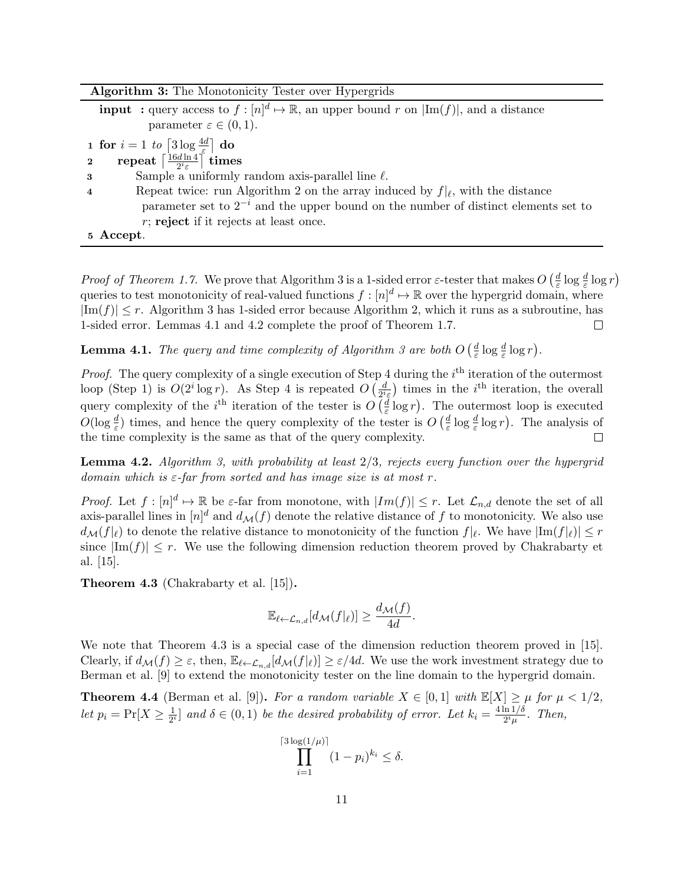|  |  |  |  | <b>Algorithm 3:</b> The Monotonicity Tester over Hypergrids |
|--|--|--|--|-------------------------------------------------------------|
|--|--|--|--|-------------------------------------------------------------|

**input** : query access to  $f: [n]^d \mapsto \mathbb{R}$ , an upper bound r on  $|\text{Im}(f)|$ , and a distance parameter  $\varepsilon \in (0,1)$ . 1 for  $i=1$  to  $\lceil 3 \log \frac{4d}{\varepsilon} \rceil$  do 1 for  $i = 1$  to  $\left| \frac{3 \log \frac{1}{\epsilon}}{2} \right|$ <br>2 repeat  $\left[ \frac{16d \ln 4}{2i \epsilon} \right]$  $\frac{d\ln4}{2^i\varepsilon} \bigr] \text{ times}$  $\mathbf 3$  Sample a uniformly random axis-parallel line  $\ell$ . **4** Repeat twice: run Algorithm 2 on the array induced by  $f|_{\ell}$ , with the distance parameter set to  $2^{-i}$  and the upper bound on the number of distinct elements set to  $r$ ; reject if it rejects at least once. 5 Accept.

*Proof of Theorem 1.7.* We prove that Algorithm 3 is a 1-sided error  $\varepsilon$ -tester that makes  $O\left(\frac{d}{\varepsilon}\right)$  $\frac{d}{\varepsilon} \log \frac{d}{\varepsilon} \log r$ queries to test monotonicity of real-valued functions  $f : [n]^d \mapsto \mathbb{R}$  over the hypergrid domain, where  $|Im(f)| \leq r$ . Algorithm 3 has 1-sided error because Algorithm 2, which it runs as a subroutine, has 1-sided error. Lemmas 4.1 and 4.2 complete the proof of Theorem 1.7.  $\Box$ 

**Lemma 4.1.** The query and time complexity of Algorithm 3 are both  $O\left(\frac{d}{\varepsilon}\right)$  $\frac{d}{\varepsilon} \log \frac{d}{\varepsilon} \log r$ .

*Proof.* The query complexity of a single execution of Step 4 during the  $i<sup>th</sup>$  iteration of the outermost loop (Step 1) is  $O(2^i \log r)$ . As Step 4 is repeated  $O\left(\frac{d}{2^i}\right)$  $\frac{d}{2^i \varepsilon}$  times in the *i*<sup>th</sup> iteration, the overall query complexity of the *i*<sup>th</sup> iteration of the tester is  $O\left(\frac{d}{\varepsilon}\right)$  $\frac{d}{\varepsilon} \log r$ ). The outermost loop is executed  $O(\log \frac{d}{\varepsilon})$  times, and hence the query complexity of the tester is  $O\left(\frac{d}{\varepsilon}\right)$  $\frac{d}{\varepsilon} \log \frac{d}{\varepsilon} \log r$ . The analysis of the time complexity is the same as that of the query complexity.

**Lemma 4.2.** Algorithm 3, with probability at least  $2/3$ , rejects every function over the hypergrid domain which is  $\varepsilon$ -far from sorted and has image size is at most r.

*Proof.* Let  $f : [n]^d \mapsto \mathbb{R}$  be  $\varepsilon$ -far from monotone, with  $|Im(f)| \leq r$ . Let  $\mathcal{L}_{n,d}$  denote the set of all axis-parallel lines in  $[n]^d$  and  $d_{\mathcal{M}}(f)$  denote the relative distance of f to monotonicity. We also use  $d_{\mathcal{M}}(f|_{\ell})$  to denote the relative distance to monotonicity of the function  $f|_{\ell}$ . We have  $|\text{Im}(f|_{\ell})| \leq r$ since  $|\text{Im}(f)| \leq r$ . We use the following dimension reduction theorem proved by Chakrabarty et al. [15].

Theorem 4.3 (Chakrabarty et al. [15]).

$$
\mathbb{E}_{\ell \leftarrow \mathcal{L}_{n,d}}[d_{\mathcal{M}}(f|_{\ell})] \ge \frac{d_{\mathcal{M}}(f)}{4d}.
$$

We note that Theorem 4.3 is a special case of the dimension reduction theorem proved in [15]. Clearly, if  $d_{\mathcal{M}}(f) \geq \varepsilon$ , then,  $\mathbb{E}_{\ell \leftarrow \mathcal{L}_{n,d}}[d_{\mathcal{M}}(f|_{\ell})] \geq \varepsilon/4d$ . We use the work investment strategy due to Berman et al. [9] to extend the monotonicity tester on the line domain to the hypergrid domain.

**Theorem 4.4** (Berman et al. [9]). For a random variable  $X \in [0,1]$  with  $\mathbb{E}[X] \geq \mu$  for  $\mu < 1/2$ , let  $p_i = \Pr[X \geq \frac{1}{2^n}]$  $\frac{1}{2^i}$  and  $\delta \in (0,1)$  be the desired probability of error. Let  $k_i = \frac{4 \ln 1/\delta}{2^i \mu}$  $\frac{\ln 1/\sigma}{2^i\mu}$ . Then,

$$
\prod_{i=1}^{\lceil 3\log(1/\mu)\rceil} (1-p_i)^{k_i} \le \delta.
$$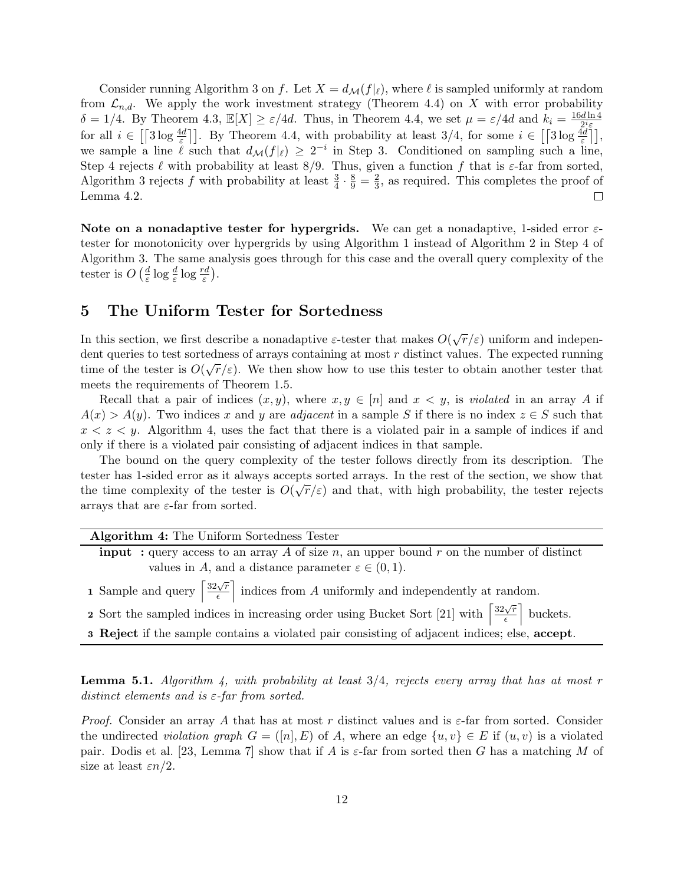Consider running Algorithm 3 on f. Let  $X = d_{\mathcal{M}}(f|\ell)$ , where  $\ell$  is sampled uniformly at random from  $\mathcal{L}_{n,d}$ . We apply the work investment strategy (Theorem 4.4) on X with error probability  $\delta = 1/4$ . By Theorem 4.3,  $\mathbb{E}[X] \geq \varepsilon/4d$ . Thus, in Theorem 4.4, we set  $\mu = \varepsilon/4d$  and  $k_i = \frac{16d \ln 4}{2i \varepsilon}$  $2^i$ ε for all  $i \in \left[3\log \frac{4d}{\varepsilon}\right]$ . By Theorem 4.4, with probability at least  $3/4$ , for some  $i \in \left[\left[3\log \frac{4d}{\varepsilon}\right]\right]$ , we sample a line  $\ell$  such that  $d_{\mathcal{M}}(f|\ell) \geq 2^{-i}$  in Step 3. Conditioned on sampling such a line, Step 4 rejects  $\ell$  with probability at least 8/9. Thus, given a function f that is  $\varepsilon$ -far from sorted, Algorithm 3 rejects  $f$  with probability at least  $\frac{3}{4} \cdot \frac{8}{9} = \frac{2}{3}$  $\frac{2}{3}$ , as required. This completes the proof of Lemma 4.2.  $\Box$ 

Note on a nonadaptive tester for hypergrids. We can get a nonadaptive, 1-sided error  $\varepsilon$ tester for monotonicity over hypergrids by using Algorithm 1 instead of Algorithm 2 in Step 4 of Algorithm 3. The same analysis goes through for this case and the overall query complexity of the tester is  $O\left(\frac{d}{\varepsilon}\right)$  $\frac{d}{\varepsilon} \log \frac{d}{\varepsilon} \log \frac{rd}{\varepsilon}$ ).

# 5 The Uniform Tester for Sortedness

In this section, we first describe a nonadaptive  $\varepsilon$ -tester that makes  $O(\sqrt{r}/\varepsilon)$  uniform and independent queries to test sortedness of arrays containing at most r distinct values. The expected running time of the tester is  $O(\sqrt{r}/\varepsilon)$ . We then show how to use this tester to obtain another tester that meets the requirements of Theorem 1.5.

Recall that a pair of indices  $(x, y)$ , where  $x, y \in [n]$  and  $x < y$ , is violated in an array A if  $A(x) > A(y)$ . Two indices x and y are adjacent in a sample S if there is no index  $z \in S$  such that  $x < z < y$ . Algorithm 4, uses the fact that there is a violated pair in a sample of indices if and only if there is a violated pair consisting of adjacent indices in that sample.

The bound on the query complexity of the tester follows directly from its description. The tester has 1-sided error as it always accepts sorted arrays. In the rest of the section, we show that  $\sim \sim 0.7$ the time complexity of the tester is  $O(\sqrt{r}/\varepsilon)$  and that, with high probability, the tester rejects arrays that are  $\varepsilon$ -far from sorted.

| Algorithm 4: The Uniform Sortedness Tester                                                                                                 |
|--------------------------------------------------------------------------------------------------------------------------------------------|
| <b>input</b> : query access to an array A of size n, an upper bound r on the number of distinct                                            |
| values in A, and a distance parameter $\varepsilon \in (0,1)$ .                                                                            |
| <b>1</b> Sample and query $\left[\frac{32\sqrt{r}}{\epsilon}\right]$ indices from A uniformly and independently at random.                 |
| 2 Sort the sampled indices in increasing order using Bucket Sort [21] with $\left\lceil \frac{32\sqrt{r}}{\epsilon} \right\rceil$ buckets. |
| <b>3 Reject</b> if the sample contains a violated pair consisting of adjacent indices; else, <b>accept</b> .                               |

**Lemma 5.1.** Algorithm 4, with probability at least  $3/4$ , rejects every array that has at most r distinct elements and is  $\varepsilon$ -far from sorted.

*Proof.* Consider an array A that has at most r distinct values and is  $\varepsilon$ -far from sorted. Consider the undirected *violation graph*  $G = ([n], E)$  of A, where an edge  $\{u, v\} \in E$  if  $(u, v)$  is a violated pair. Dodis et al. [23, Lemma 7] show that if A is  $\varepsilon$ -far from sorted then G has a matching M of size at least  $\varepsilon n/2$ .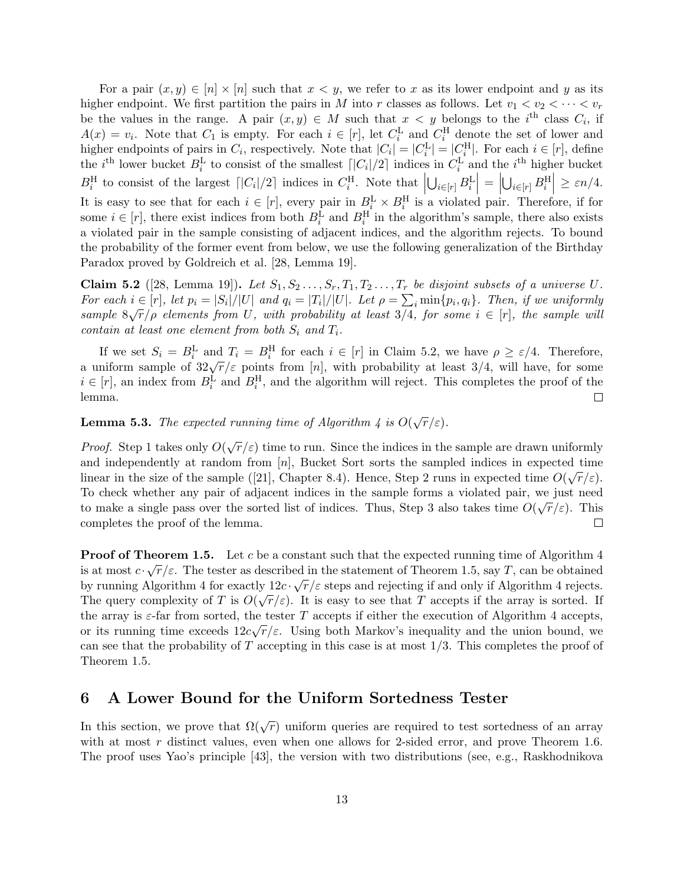For a pair  $(x, y) \in [n] \times [n]$  such that  $x < y$ , we refer to x as its lower endpoint and y as its higher endpoint. We first partition the pairs in M into r classes as follows. Let  $v_1 < v_2 < \cdots < v_r$ be the values in the range. A pair  $(x, y) \in M$  such that  $x < y$  belongs to the i<sup>th</sup> class  $C_i$ , if  $A(x) = v_i$ . Note that  $C_1$  is empty. For each  $i \in [r]$ , let  $C_i^{\text{L}}$  and  $C_i^{\text{H}}$  denote the set of lower and higher endpoints of pairs in  $C_i$ , respectively. Note that  $|C_i| = |C_i^{\text{L}}| = |C_i^{\text{H}}|$ . For each  $i \in [r]$ , define the *i*<sup>th</sup> lower bucket  $B_i^L$  to consist of the smallest  $\lceil |C_i|/2 \rceil$  indices in  $C_i^L$  and the *i*<sup>th</sup> higher bucket  $B_i^{\text{H}}$  to consist of the largest  $\lceil |C_i|/2 \rceil$  indices in  $C_i^{\text{H}}$ . Note that  $\lceil |C_i|/2 \rceil$  $\left|\bigcup_{i\in[r]}B_i^\text{L}\right|=\Big|$  $\left|\bigcup_{i\in[r]}B_i^{\text{H}}\right|\geq \varepsilon n/4.$ It is easy to see that for each  $i \in [r]$ , every pair in  $B_i^L \times B_i^H$  is a violated pair. Therefore, if for some  $i \in [r]$ , there exist indices from both  $B_i^{\text{L}}$  and  $B_i^{\text{H}}$  in the algorithm's sample, there also exists a violated pair in the sample consisting of adjacent indices, and the algorithm rejects. To bound the probability of the former event from below, we use the following generalization of the Birthday Paradox proved by Goldreich et al. [28, Lemma 19].

**Claim 5.2** ([28, Lemma 19]). Let  $S_1, S_2, \ldots, S_r, T_1, T_2, \ldots, T_r$  be disjoint subsets of a universe U. For each  $i \in [r]$ , let  $p_i = |S_i|/|U|$  and  $q_i = |T_i|/|U|$ . Let  $\rho = \sum_i \min\{p_i, q_i\}$ . Then, if we uniformly sample  $8\sqrt{r}/\rho$  elements from U, with probability at least 3/4, for some  $i \in [r]$ , the sample will contain at least one element from both  $S_i$  and  $T_i$ .

If we set  $S_i = B_i^{\text{L}}$  and  $T_i = B_i^{\text{H}}$  for each  $i \in [r]$  in Claim 5.2, we have  $\rho \ge \varepsilon/4$ . Therefore,<br>a uniform sample of  $32\sqrt{r}/\varepsilon$  points from  $[n]$ , with probability at least  $3/4$ , will have, for some  $i \in [r]$ , an index from  $B_i^L$  and  $B_i^H$ , and the algorithm will reject. This completes the proof of the lemma.  $\Box$ 

**Lemma 5.3.** The expected running time of Algorithm 4 is  $O(\sqrt{r}/\varepsilon)$ .

*Proof.* Step 1 takes only  $O(\sqrt{r}/\varepsilon)$  time to run. Since the indices in the sample are drawn uniformly and independently at random from [n], Bucket Sort sorts the sampled indices in expected time linear in the size of the sample ([21], Chapter 8.4). Hence, Step 2 runs in expected time  $O(\sqrt{r}/\varepsilon)$ . To check whether any pair of adjacent indices in the sample forms a violated pair, we just need to make a single pass over the sorted list of indices. Thus, Step 3 also takes time  $O(\sqrt{r}/\varepsilon)$ . This completes the proof of the lemma.  $\Box$ 

**Proof of Theorem 1.5.** Let c be a constant such that the expected running time of Algorithm 4 is at most  $c \cdot \sqrt{r}/\varepsilon$ . The tester as described in the statement of Theorem 1.5, say T, can be obtained by running Algorithm 4 for exactly  $12c \cdot \sqrt{r}/\varepsilon$  steps and rejecting if and only if Algorithm 4 rejects. By running Algorithm 4 for exactly  $12C \cdot \sqrt{7}/\varepsilon$  steps and rejecting if and only if Algorithm 4 rejects.<br>The query complexity of T is  $O(\sqrt{r}/\varepsilon)$ . It is easy to see that T accepts if the array is sorted. If the array is  $\varepsilon$ -far from sorted, the tester T accepts if either the execution of Algorithm 4 accepts, or its running time exceeds  $12c\sqrt{r}/\varepsilon$ . Using both Markov's inequality and the union bound, we can see that the probability of  $T$  accepting in this case is at most  $1/3$ . This completes the proof of Theorem 1.5.

### 6 A Lower Bound for the Uniform Sortedness Tester

In this section, we prove that  $\Omega(\sqrt{r})$  uniform queries are required to test sortedness of an array with at most  $r$  distinct values, even when one allows for 2-sided error, and prove Theorem 1.6. The proof uses Yao's principle [43], the version with two distributions (see, e.g., Raskhodnikova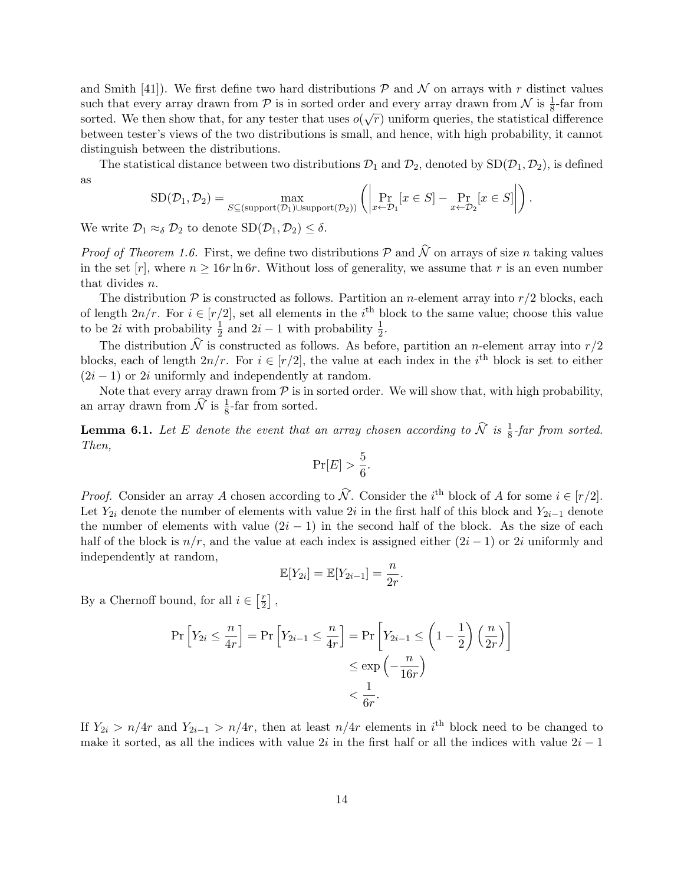and Smith [41]). We first define two hard distributions  $P$  and  $N$  on arrays with r distinct values such that every array drawn from  $\mathcal P$  is in sorted order and every array drawn from  $\mathcal N$  is  $\frac{1}{8}$ -far from sorted. We then show that, for any tester that uses  $o(\sqrt{r})$  uniform queries, the statistical difference between tester's views of the two distributions is small, and hence, with high probability, it cannot distinguish between the distributions.

The statistical distance between two distributions  $\mathcal{D}_1$  and  $\mathcal{D}_2$ , denoted by  $SD(\mathcal{D}_1, \mathcal{D}_2)$ , is defined as

$$
SD(\mathcal{D}_1, \mathcal{D}_2) = \max_{S \subseteq (\text{support}(\mathcal{D}_1) \cup \text{support}(\mathcal{D}_2))} \left( \left| \Pr_{x \leftarrow \mathcal{D}_1} [x \in S] - \Pr_{x \leftarrow \mathcal{D}_2} [x \in S] \right| \right) .
$$

We write  $\mathcal{D}_1 \approx_{\delta} \mathcal{D}_2$  to denote  $SD(\mathcal{D}_1, \mathcal{D}_2) \leq \delta$ .

*Proof of Theorem 1.6.* First, we define two distributions  $\mathcal P$  and  $\hat{\mathcal N}$  on arrays of size n taking values in the set  $[r]$ , where  $n \ge 16r \ln 6r$ . Without loss of generality, we assume that r is an even number that divides n.

The distribution  $P$  is constructed as follows. Partition an *n*-element array into  $r/2$  blocks, each of length  $2n/r$ . For  $i \in [r/2]$ , set all elements in the i<sup>th</sup> block to the same value; choose this value to be 2*i* with probability  $\frac{1}{2}$  and 2*i* - 1 with probability  $\frac{1}{2}$ .

The distribution  $\hat{N}$  is constructed as follows. As before, partition an *n*-element array into  $r/2$ blocks, each of length  $2n/r$ . For  $i \in [r/2]$ , the value at each index in the i<sup>th</sup> block is set to either  $(2i - 1)$  or 2i uniformly and independently at random.

Note that every array drawn from  $P$  is in sorted order. We will show that, with high probability, an array drawn from  $\widehat{\mathcal{N}}$  is  $\frac{1}{8}$ -far from sorted.

**Lemma 6.1.** Let E denote the event that an array chosen according to  $\widehat{N}$  is  $\frac{1}{8}$ -far from sorted. Then,

$$
\Pr[E] > \frac{5}{6}.
$$

*Proof.* Consider an array A chosen according to  $\hat{N}$ . Consider the i<sup>th</sup> block of A for some  $i \in [r/2]$ . Let  $Y_{2i}$  denote the number of elements with value 2i in the first half of this block and  $Y_{2i-1}$  denote the number of elements with value  $(2i - 1)$  in the second half of the block. As the size of each half of the block is  $n/r$ , and the value at each index is assigned either  $(2i - 1)$  or 2i uniformly and independently at random,

$$
\mathbb{E}[Y_{2i}] = \mathbb{E}[Y_{2i-1}] = \frac{n}{2r}.
$$

By a Chernoff bound, for all  $i \in \left[\frac{r}{2}\right]$  $\frac{r}{2}$ ,

$$
\Pr\left[Y_{2i} \le \frac{n}{4r}\right] = \Pr\left[Y_{2i-1} \le \frac{n}{4r}\right] = \Pr\left[Y_{2i-1} \le \left(1 - \frac{1}{2}\right)\left(\frac{n}{2r}\right)\right] \le \exp\left(-\frac{n}{16r}\right) \le \frac{1}{6r}.
$$

If  $Y_{2i} > n/4r$  and  $Y_{2i-1} > n/4r$ , then at least  $n/4r$  elements in i<sup>th</sup> block need to be changed to make it sorted, as all the indices with value  $2i$  in the first half or all the indices with value  $2i - 1$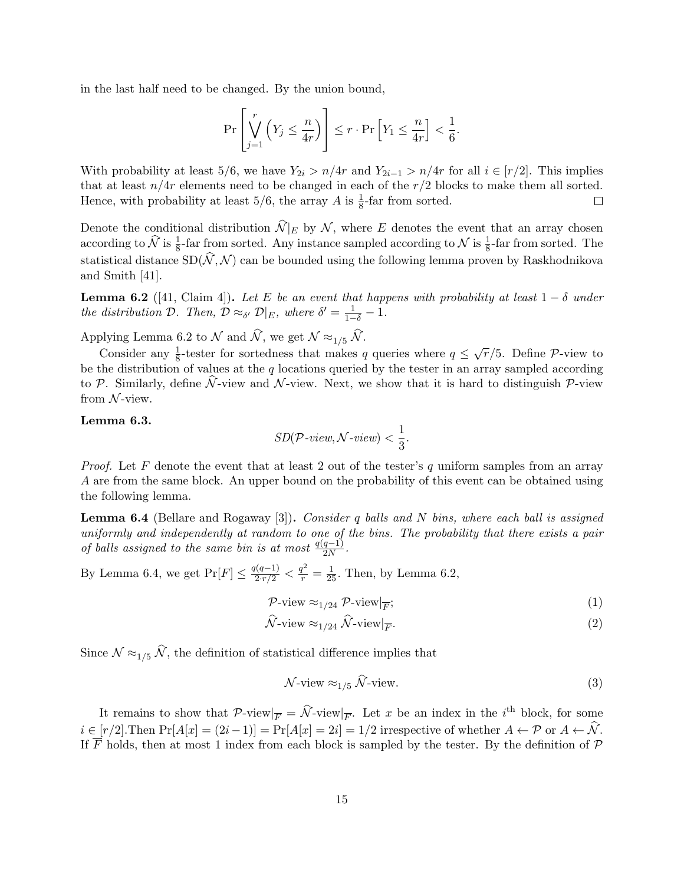in the last half need to be changed. By the union bound,

$$
\Pr\left[\bigvee_{j=1}^r \left(Y_j \leq \frac{n}{4r}\right)\right] \leq r \cdot \Pr\left[Y_1 \leq \frac{n}{4r}\right] < \frac{1}{6}.
$$

With probability at least 5/6, we have  $Y_{2i} > n/4r$  and  $Y_{2i-1} > n/4r$  for all  $i \in [r/2]$ . This implies that at least  $n/4r$  elements need to be changed in each of the  $r/2$  blocks to make them all sorted. Hence, with probability at least  $5/6$ , the array A is  $\frac{1}{8}$ -far from sorted.  $\Box$ 

Denote the conditional distribution  $\widehat{\mathcal{N}}|_E$  by  $\mathcal{N}$ , where E denotes the event that an array chosen according to  $\hat{\mathcal{N}}$  is  $\frac{1}{8}$ -far from sorted. Any instance sampled according to  $\mathcal{N}$  is  $\frac{1}{8}$ -far from sorted. The statistical distance  $SD(\hat{N}, \hat{\mathcal{N}})$  can be bounded using the following lemma proven by Raskhodnikova and Smith [41].

**Lemma 6.2** ([41, Claim 4]). Let E be an event that happens with probability at least  $1 - \delta$  under the distribution  $\mathcal{D}$ . Then,  $\mathcal{D} \approx_{\delta'} \mathcal{D}|_E$ , where  $\delta' = \frac{1}{1-\delta} - 1$ .

Applying Lemma 6.2 to N and  $\hat{N}$ , we get  $N \approx_{1/5} \hat{N}$ .

Consider any  $\frac{1}{8}$ -tester for sortedness that makes q queries where  $q \leq \sqrt{r}/5$ . Define P-view to be the distribution of values at the q locations queried by the tester in an array sampled according to P. Similarly, define  $\hat{N}$ -view and N-view. Next, we show that it is hard to distinguish P-view from  $N$ -view.

### Lemma 6.3.

$$
SD(\mathcal{P}\text{-view}, \mathcal{N}\text{-view}) < \frac{1}{3}.
$$

*Proof.* Let F denote the event that at least 2 out of the tester's q uniform samples from an array A are from the same block. An upper bound on the probability of this event can be obtained using the following lemma.

**Lemma 6.4** (Bellare and Rogaway [3]). Consider q balls and N bins, where each ball is assigned uniformly and independently at random to one of the bins. The probability that there exists a pair of balls assigned to the same bin is at most  $\frac{q(q-1)}{2N}$ .

By Lemma 6.4, we get  $Pr[F] \le \frac{q(q-1)}{2 \cdot r/2} < \frac{q^2}{r} = \frac{1}{25}$ . Then, by Lemma 6.2,

$$
\mathcal{P}\text{-view} \approx_{1/24} \mathcal{P}\text{-view}|_{\overline{F}};
$$
\n<sup>(1)</sup>

$$
\hat{\mathcal{N}}\text{-view} \approx_{1/24} \hat{\mathcal{N}}\text{-view}\big|\overline{F}.\tag{2}
$$

Since  $\mathcal{N} \approx_{1/5} \widehat{\mathcal{N}}$ , the definition of statistical difference implies that

$$
\mathcal{N}\text{-view} \approx_{1/5} \widehat{\mathcal{N}}\text{-view.} \tag{3}
$$

It remains to show that  $\mathcal{P}\text{-view}|_{\overline{F}} = \widehat{\mathcal{N}}\text{-view}|_{\overline{F}}$ . Let x be an index in the i<sup>th</sup> block, for some  $i \in [r/2]$ . Then  $Pr[A[x] = (2i-1)] = Pr[A[x] = 2i] = 1/2$  irrespective of whether  $A \leftarrow \mathcal{P}$  or  $A \leftarrow \mathcal{N}$ . If  $\overline{F}$  holds, then at most 1 index from each block is sampled by the tester. By the definition of  $\mathcal P$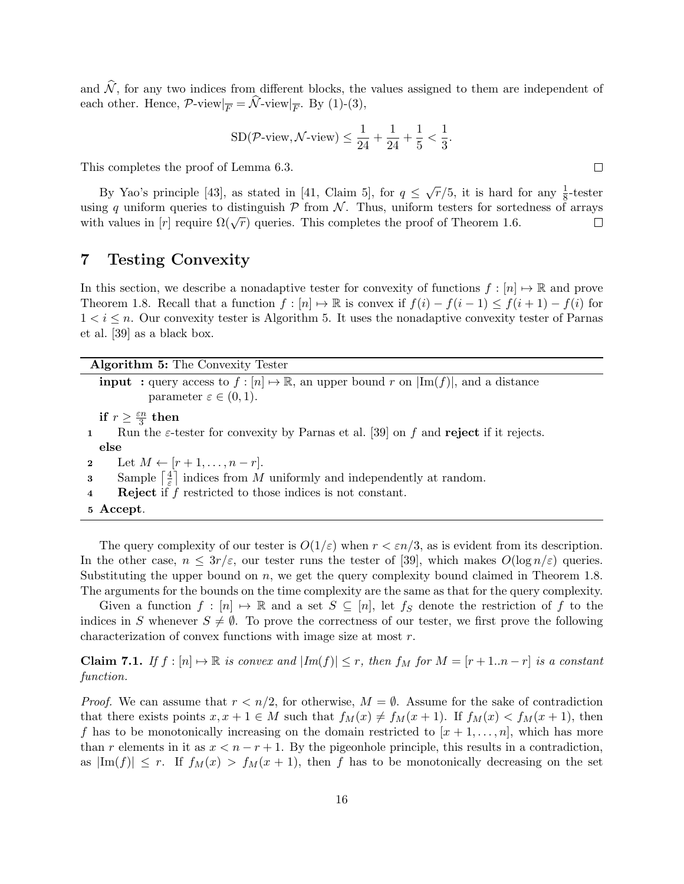and  $\hat{N}$ , for any two indices from different blocks, the values assigned to them are independent of each other. Hence,  $\mathcal{P}\text{-view}|_{\overline{F}} = \mathcal{N}\text{-view}|_{\overline{F}}$ . By (1)-(3),

$$
SD(\mathcal{P}\text{-view}, \mathcal{N}\text{-view}) \le \frac{1}{24} + \frac{1}{24} + \frac{1}{5} < \frac{1}{3}.
$$

This completes the proof of Lemma 6.3.

By Yao's principle [43], as stated in [41, Claim 5], for  $q \leq \sqrt{r}/5$ , it is hard for any  $\frac{1}{8}$ -tester using q uniform queries to distinguish  $P$  from  $N$ . Thus, uniform testers for sortedness of arrays with values in  $[r]$  require  $\Omega(\sqrt{r})$  queries. This completes the proof of Theorem 1.6.  $\Box$ 

### 7 Testing Convexity

In this section, we describe a nonadaptive tester for convexity of functions  $f : [n] \mapsto \mathbb{R}$  and prove Theorem 1.8. Recall that a function  $f : [n] \mapsto \mathbb{R}$  is convex if  $f(i) - f(i-1) \leq f(i+1) - f(i)$  for  $1 < i \leq n$ . Our convexity tester is Algorithm 5. It uses the nonadaptive convexity tester of Parnas et al. [39] as a black box.

| Algorithm 5: The Convexity Tester                                                                                                                      |
|--------------------------------------------------------------------------------------------------------------------------------------------------------|
| <b>input</b> : query access to $f : [n] \to \mathbb{R}$ , an upper bound r on $ \text{Im}(f) $ , and a distance<br>parameter $\varepsilon \in (0,1)$ . |
| if $r \geq \frac{\varepsilon n}{3}$ then                                                                                                               |
| Run the $\varepsilon$ -tester for convexity by Parnas et al. [39] on f and reject if it rejects.<br>$\mathbf{1}$                                       |
| else                                                                                                                                                   |
| 2 Let $M \leftarrow [r+1, \ldots, n-r]$ .                                                                                                              |
| Sample $\lceil \frac{4}{5} \rceil$ indices from M uniformly and independently at random.<br>$\overline{\mathbf{3}}$                                    |
| <b>Reject</b> if $f$ restricted to those indices is not constant.<br>$\overline{\mathbf{4}}$                                                           |
| 5 Accept.                                                                                                                                              |

The query complexity of our tester is  $O(1/\varepsilon)$  when  $r < \varepsilon n/3$ , as is evident from its description. In the other case,  $n \leq 3r/\varepsilon$ , our tester runs the tester of [39], which makes  $O(\log n/\varepsilon)$  queries. Substituting the upper bound on  $n$ , we get the query complexity bound claimed in Theorem 1.8. The arguments for the bounds on the time complexity are the same as that for the query complexity.

Given a function  $f : [n] \mapsto \mathbb{R}$  and a set  $S \subseteq [n]$ , let  $f_S$  denote the restriction of f to the indices in S whenever  $S \neq \emptyset$ . To prove the correctness of our tester, we first prove the following characterization of convex functions with image size at most r.

**Claim 7.1.** If  $f : [n] \rightarrow \mathbb{R}$  is convex and  $|Im(f)| \leq r$ , then  $f_M$  for  $M = [r + 1..n - r]$  is a constant function.

*Proof.* We can assume that  $r < n/2$ , for otherwise,  $M = \emptyset$ . Assume for the sake of contradiction that there exists points  $x, x + 1 \in M$  such that  $f_M(x) \neq f_M(x + 1)$ . If  $f_M(x) < f_M(x + 1)$ , then f has to be monotonically increasing on the domain restricted to  $[x + 1, \ldots, n]$ , which has more than r elements in it as  $x < n - r + 1$ . By the pigeonhole principle, this results in a contradiction, as  $|\text{Im}(f)| \leq r$ . If  $f_M(x) > f_M(x+1)$ , then f has to be monotonically decreasing on the set

 $\Box$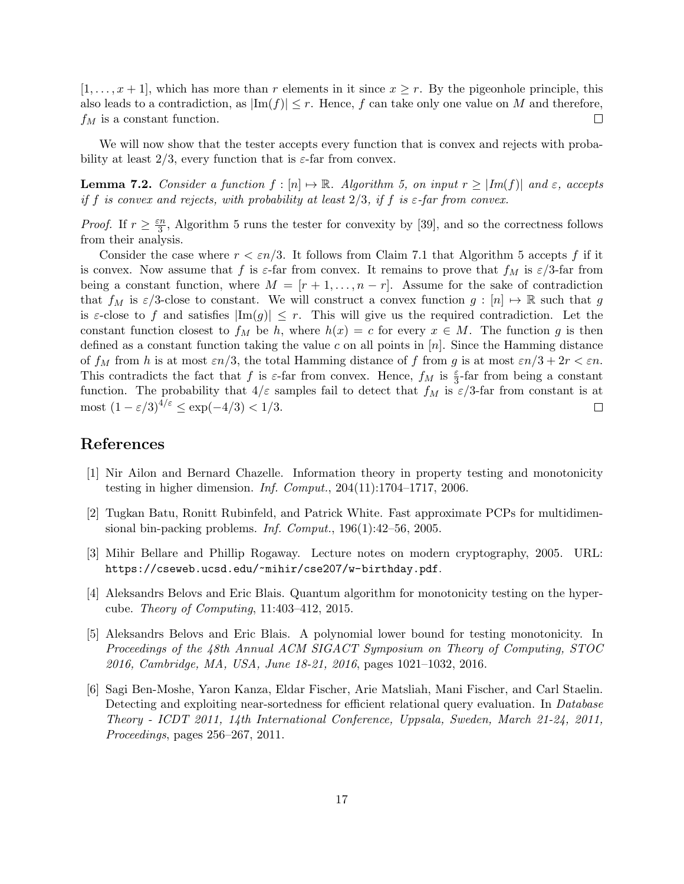$[1, \ldots, x+1]$ , which has more than r elements in it since  $x \geq r$ . By the pigeonhole principle, this also leads to a contradiction, as  $|\text{Im}(f)| \leq r$ . Hence, f can take only one value on M and therefore,  $f_M$  is a constant function.  $\Box$ 

We will now show that the tester accepts every function that is convex and rejects with probability at least  $2/3$ , every function that is  $\varepsilon$ -far from convex.

**Lemma 7.2.** Consider a function  $f : [n] \rightarrow \mathbb{R}$ . Algorithm 5, on input  $r \ge |Im(f)|$  and  $\varepsilon$ , accepts if f is convex and rejects, with probability at least  $2/3$ , if f is  $\varepsilon$ -far from convex.

*Proof.* If  $r \geq \frac{\varepsilon n}{3}$  $\frac{3}{3}$ , Algorithm 5 runs the tester for convexity by [39], and so the correctness follows from their analysis.

Consider the case where  $r < \varepsilon n/3$ . It follows from Claim 7.1 that Algorithm 5 accepts f if it is convex. Now assume that f is  $\varepsilon$ -far from convex. It remains to prove that  $f_M$  is  $\varepsilon/3$ -far from being a constant function, where  $M = [r+1, \ldots, n-r]$ . Assume for the sake of contradiction that  $f_M$  is  $\varepsilon/3$ -close to constant. We will construct a convex function  $g : [n] \mapsto \mathbb{R}$  such that g is  $\varepsilon$ -close to f and satisfies  $|\text{Im}(g)| \leq r$ . This will give us the required contradiction. Let the constant function closest to  $f_M$  be h, where  $h(x) = c$  for every  $x \in M$ . The function g is then defined as a constant function taking the value c on all points in  $[n]$ . Since the Hamming distance of  $f_M$  from h is at most  $\varepsilon n/3$ , the total Hamming distance of f from g is at most  $\varepsilon n/3 + 2r < \varepsilon n$ . This contradicts the fact that f is  $\varepsilon$ -far from convex. Hence,  $f_M$  is  $\frac{\varepsilon}{3}$ -far from being a constant function. The probability that  $4/\varepsilon$  samples fail to detect that  $f_M$  is  $\varepsilon/3$ -far from constant is at most  $(1 - \varepsilon/3)^{4/\varepsilon} \le \exp(-4/3) < 1/3$ .  $\Box$ 

# References

- [1] Nir Ailon and Bernard Chazelle. Information theory in property testing and monotonicity testing in higher dimension. Inf. Comput.,  $204(11):1704-1717$ ,  $2006$ .
- [2] Tugkan Batu, Ronitt Rubinfeld, and Patrick White. Fast approximate PCPs for multidimensional bin-packing problems. Inf. Comput., 196(1):42–56, 2005.
- [3] Mihir Bellare and Phillip Rogaway. Lecture notes on modern cryptography, 2005. URL: https://cseweb.ucsd.edu/~mihir/cse207/w-birthday.pdf.
- [4] Aleksandrs Belovs and Eric Blais. Quantum algorithm for monotonicity testing on the hypercube. Theory of Computing, 11:403–412, 2015.
- [5] Aleksandrs Belovs and Eric Blais. A polynomial lower bound for testing monotonicity. In Proceedings of the 48th Annual ACM SIGACT Symposium on Theory of Computing, STOC 2016, Cambridge, MA, USA, June 18-21, 2016, pages 1021–1032, 2016.
- [6] Sagi Ben-Moshe, Yaron Kanza, Eldar Fischer, Arie Matsliah, Mani Fischer, and Carl Staelin. Detecting and exploiting near-sortedness for efficient relational query evaluation. In Database Theory - ICDT 2011, 14th International Conference, Uppsala, Sweden, March 21-24, 2011, Proceedings, pages 256–267, 2011.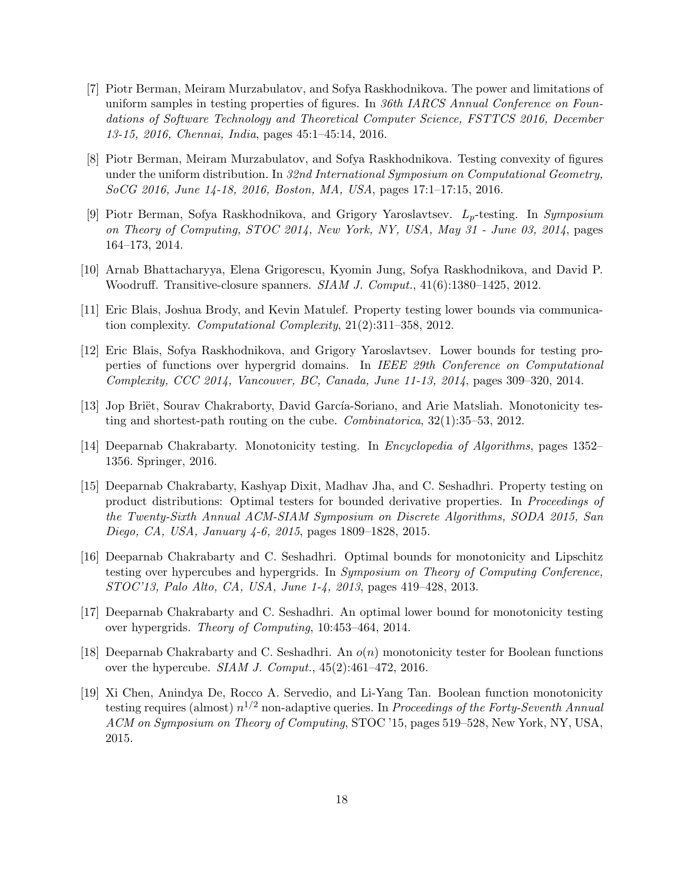- [7] Piotr Berman, Meiram Murzabulatov, and Sofya Raskhodnikova. The power and limitations of uniform samples in testing properties of figures. In 36th IARCS Annual Conference on Foundations of Software Technology and Theoretical Computer Science, FSTTCS 2016, December 13-15, 2016, Chennai, India, pages 45:1–45:14, 2016.
- [8] Piotr Berman, Meiram Murzabulatov, and Sofya Raskhodnikova. Testing convexity of figures under the uniform distribution. In 32nd International Symposium on Computational Geometry, SoCG 2016, June 14-18, 2016, Boston, MA, USA, pages 17:1–17:15, 2016.
- [9] Piotr Berman, Sofya Raskhodnikova, and Grigory Yaroslavtsev.  $L_p$ -testing. In Symposium on Theory of Computing, STOC 2014, New York, NY, USA, May 31 - June 03, 2014, pages 164–173, 2014.
- [10] Arnab Bhattacharyya, Elena Grigorescu, Kyomin Jung, Sofya Raskhodnikova, and David P. Woodruff. Transitive-closure spanners. SIAM J. Comput., 41(6):1380–1425, 2012.
- [11] Eric Blais, Joshua Brody, and Kevin Matulef. Property testing lower bounds via communication complexity. Computational Complexity, 21(2):311–358, 2012.
- [12] Eric Blais, Sofya Raskhodnikova, and Grigory Yaroslavtsev. Lower bounds for testing properties of functions over hypergrid domains. In IEEE 29th Conference on Computational Complexity, CCC 2014, Vancouver, BC, Canada, June 11-13, 2014, pages 309–320, 2014.
- [13] Jop Briët, Sourav Chakraborty, David García-Soriano, and Arie Matsliah. Monotonicity testing and shortest-path routing on the cube. Combinatorica, 32(1):35–53, 2012.
- [14] Deeparnab Chakrabarty. Monotonicity testing. In Encyclopedia of Algorithms, pages 1352– 1356. Springer, 2016.
- [15] Deeparnab Chakrabarty, Kashyap Dixit, Madhav Jha, and C. Seshadhri. Property testing on product distributions: Optimal testers for bounded derivative properties. In Proceedings of the Twenty-Sixth Annual ACM-SIAM Symposium on Discrete Algorithms, SODA 2015, San Diego, CA, USA, January 4-6, 2015, pages 1809–1828, 2015.
- [16] Deeparnab Chakrabarty and C. Seshadhri. Optimal bounds for monotonicity and Lipschitz testing over hypercubes and hypergrids. In Symposium on Theory of Computing Conference, STOC'13, Palo Alto, CA, USA, June 1-4, 2013, pages 419–428, 2013.
- [17] Deeparnab Chakrabarty and C. Seshadhri. An optimal lower bound for monotonicity testing over hypergrids. Theory of Computing, 10:453–464, 2014.
- [18] Deeparnab Chakrabarty and C. Seshadhri. An  $o(n)$  monotonicity tester for Boolean functions over the hypercube. *SIAM J. Comput.*,  $45(2):461-472$ ,  $2016$ .
- [19] Xi Chen, Anindya De, Rocco A. Servedio, and Li-Yang Tan. Boolean function monotonicity testing requires (almost)  $n^{1/2}$  non-adaptive queries. In Proceedings of the Forty-Seventh Annual ACM on Symposium on Theory of Computing, STOC '15, pages 519–528, New York, NY, USA, 2015.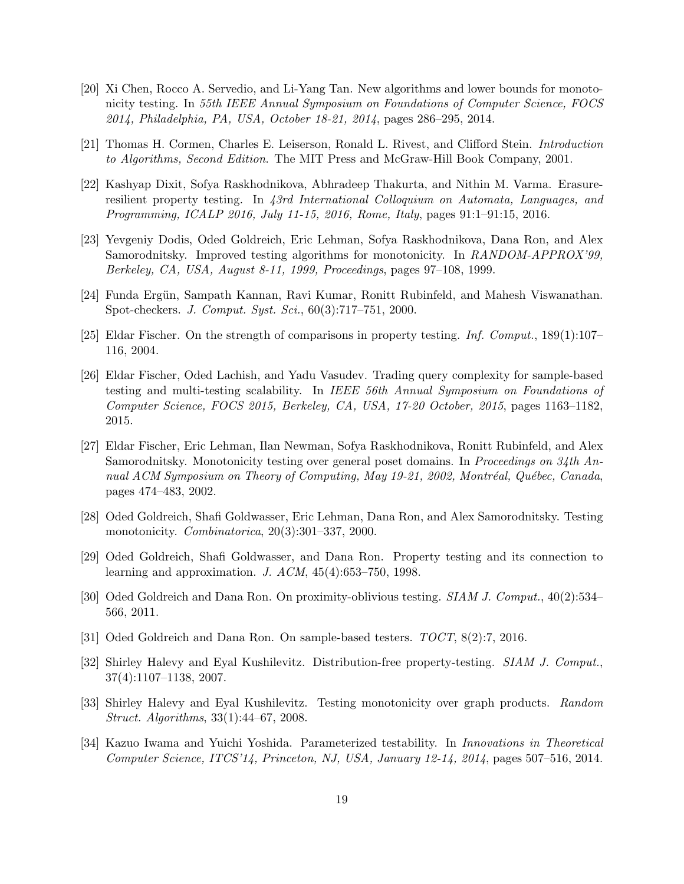- [20] Xi Chen, Rocco A. Servedio, and Li-Yang Tan. New algorithms and lower bounds for monotonicity testing. In 55th IEEE Annual Symposium on Foundations of Computer Science, FOCS 2014, Philadelphia, PA, USA, October 18-21, 2014, pages 286–295, 2014.
- [21] Thomas H. Cormen, Charles E. Leiserson, Ronald L. Rivest, and Clifford Stein. Introduction to Algorithms, Second Edition. The MIT Press and McGraw-Hill Book Company, 2001.
- [22] Kashyap Dixit, Sofya Raskhodnikova, Abhradeep Thakurta, and Nithin M. Varma. Erasureresilient property testing. In 43rd International Colloquium on Automata, Languages, and Programming, ICALP 2016, July 11-15, 2016, Rome, Italy, pages 91:1–91:15, 2016.
- [23] Yevgeniy Dodis, Oded Goldreich, Eric Lehman, Sofya Raskhodnikova, Dana Ron, and Alex Samorodnitsky. Improved testing algorithms for monotonicity. In RANDOM-APPROX'99, Berkeley, CA, USA, August 8-11, 1999, Proceedings, pages 97–108, 1999.
- [24] Funda Ergün, Sampath Kannan, Ravi Kumar, Ronitt Rubinfeld, and Mahesh Viswanathan. Spot-checkers. J. Comput. Syst. Sci., 60(3):717–751, 2000.
- [25] Eldar Fischer. On the strength of comparisons in property testing. Inf. Comput.,  $189(1):107-$ 116, 2004.
- [26] Eldar Fischer, Oded Lachish, and Yadu Vasudev. Trading query complexity for sample-based testing and multi-testing scalability. In IEEE 56th Annual Symposium on Foundations of Computer Science, FOCS 2015, Berkeley, CA, USA, 17-20 October, 2015, pages 1163–1182, 2015.
- [27] Eldar Fischer, Eric Lehman, Ilan Newman, Sofya Raskhodnikova, Ronitt Rubinfeld, and Alex Samorodnitsky. Monotonicity testing over general poset domains. In Proceedings on 34th Annual ACM Symposium on Theory of Computing, May 19-21, 2002, Montréal, Québec, Canada, pages 474–483, 2002.
- [28] Oded Goldreich, Shafi Goldwasser, Eric Lehman, Dana Ron, and Alex Samorodnitsky. Testing monotonicity. *Combinatorica*, 20(3):301–337, 2000.
- [29] Oded Goldreich, Shafi Goldwasser, and Dana Ron. Property testing and its connection to learning and approximation. J. ACM, 45(4):653–750, 1998.
- [30] Oded Goldreich and Dana Ron. On proximity-oblivious testing. SIAM J. Comput., 40(2):534– 566, 2011.
- [31] Oded Goldreich and Dana Ron. On sample-based testers. TOCT, 8(2):7, 2016.
- [32] Shirley Halevy and Eyal Kushilevitz. Distribution-free property-testing. SIAM J. Comput., 37(4):1107–1138, 2007.
- [33] Shirley Halevy and Eyal Kushilevitz. Testing monotonicity over graph products. Random Struct. Algorithms, 33(1):44–67, 2008.
- [34] Kazuo Iwama and Yuichi Yoshida. Parameterized testability. In Innovations in Theoretical Computer Science, ITCS'14, Princeton, NJ, USA, January 12-14, 2014, pages 507–516, 2014.